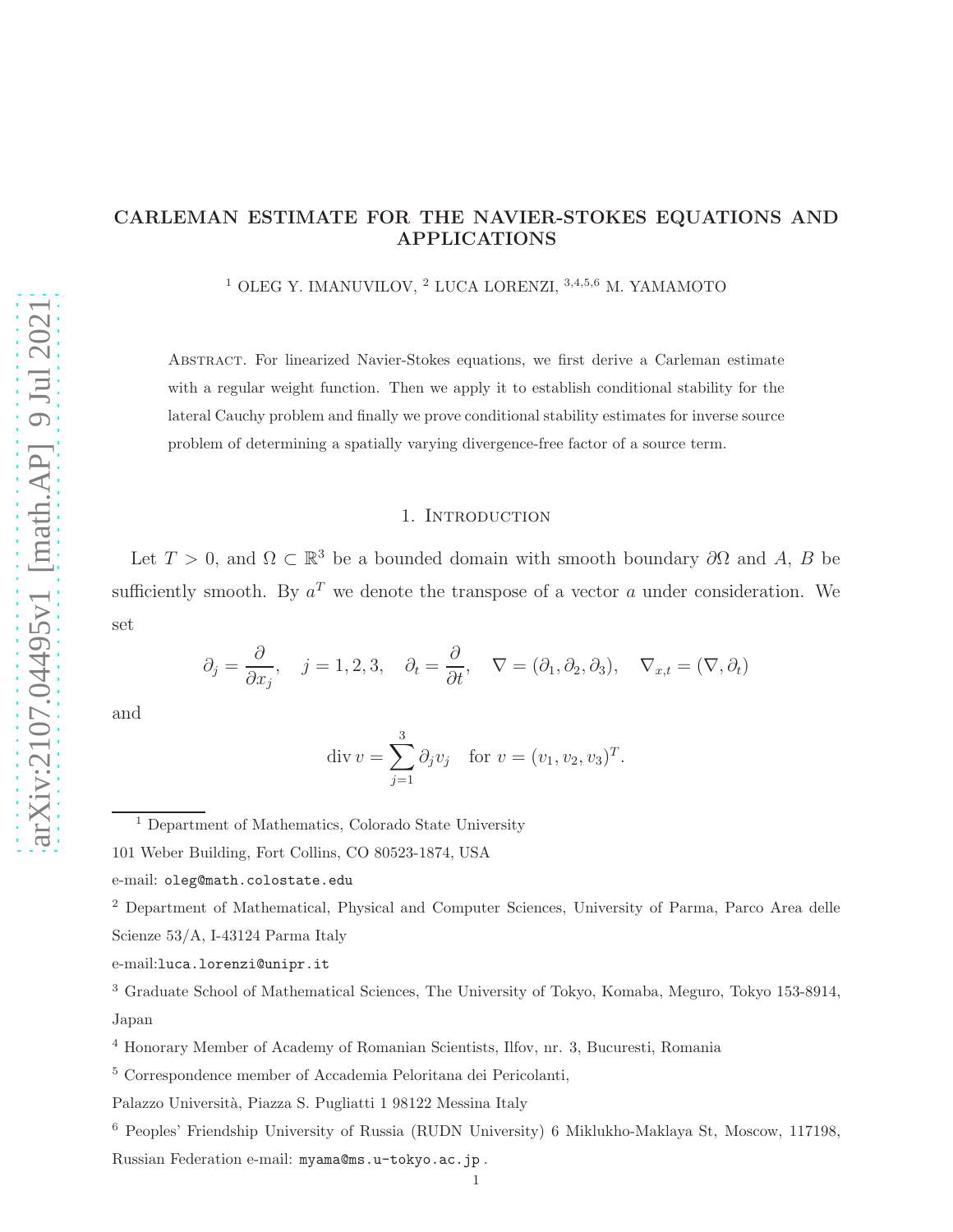# CARLEMAN ESTIMATE FOR THE NAVIER-STOKES EQUATIONS AND APPLICATIONS

<sup>1</sup> OLEG Y. IMANUVILOV, <sup>2</sup> LUCA LORENZI, <sup>3,4,5,6</sup> M. YAMAMOTO

Abstract. For linearized Navier-Stokes equations, we first derive a Carleman estimate with a regular weight function. Then we apply it to establish conditional stability for the lateral Cauchy problem and finally we prove conditional stability estimates for inverse source problem of determining a spatially varying divergence-free factor of a source term.

## 1. INTRODUCTION

Let  $T > 0$ , and  $\Omega \subset \mathbb{R}^3$  be a bounded domain with smooth boundary  $\partial\Omega$  and  $A, B$  be sufficiently smooth. By  $a^T$  we denote the transpose of a vector a under consideration. We set

$$
\partial_j = \frac{\partial}{\partial x_j}, \quad j = 1, 2, 3, \quad \partial_t = \frac{\partial}{\partial t}, \quad \nabla = (\partial_1, \partial_2, \partial_3), \quad \nabla_{x,t} = (\nabla, \partial_t)
$$

and

$$
\operatorname{div} v = \sum_{j=1}^{3} \partial_j v_j \quad \text{for } v = (v_1, v_2, v_3)^T.
$$

3

<sup>1</sup> Department of Mathematics, Colorado State University

<sup>2</sup> Department of Mathematical, Physical and Computer Sciences, University of Parma, Parco Area delle Scienze 53/A, I-43124 Parma Italy

<sup>101</sup> Weber Building, Fort Collins, CO 80523-1874, USA

e-mail: oleg@math.colostate.edu

e-mail:luca.lorenzi@unipr.it

<sup>3</sup> Graduate School of Mathematical Sciences, The University of Tokyo, Komaba, Meguro, Tokyo 153-8914, Japan

<sup>4</sup> Honorary Member of Academy of Romanian Scientists, Ilfov, nr. 3, Bucuresti, Romania

<sup>5</sup> Correspondence member of Accademia Peloritana dei Pericolanti,

Palazzo Universit`a, Piazza S. Pugliatti 1 98122 Messina Italy

<sup>6</sup> Peoples' Friendship University of Russia (RUDN University) 6 Miklukho-Maklaya St, Moscow, 117198, Russian Federation e-mail: myama@ms.u-tokyo.ac.jp .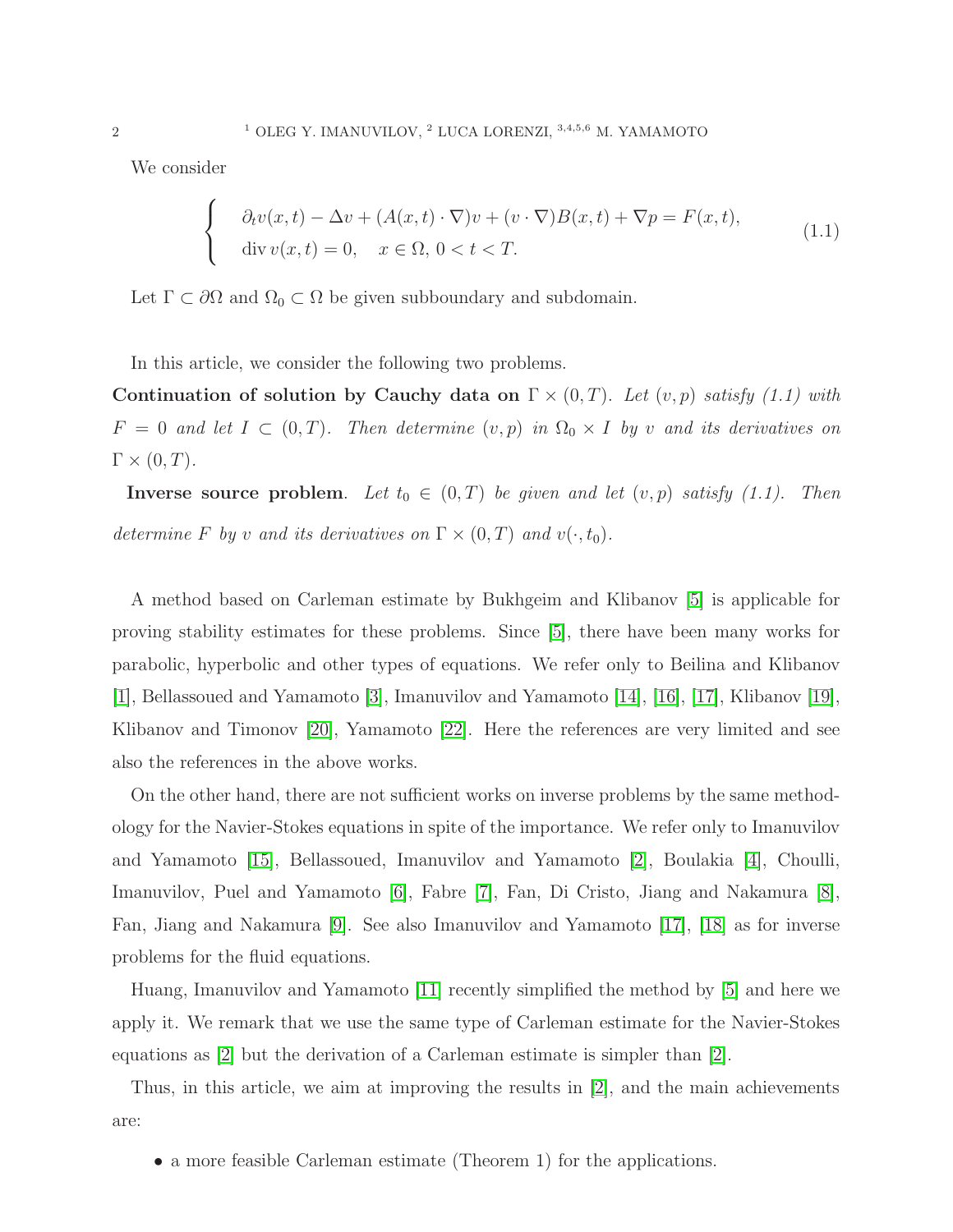We consider

$$
\begin{cases}\n\partial_t v(x,t) - \Delta v + (A(x,t) \cdot \nabla)v + (v \cdot \nabla)B(x,t) + \nabla p = F(x,t), \\
\text{div } v(x,t) = 0, \quad x \in \Omega, \ 0 < t < T.\n\end{cases} \tag{1.1}
$$

Let  $\Gamma \subset \partial\Omega$  and  $\Omega_0 \subset \Omega$  be given subboundary and subdomain.

In this article, we consider the following two problems.

Continuation of solution by Cauchy data on  $\Gamma \times (0,T)$ . Let  $(v, p)$  satisfy (1.1) with  $F = 0$  and let  $I \subset (0, T)$ . Then determine  $(v, p)$  in  $\Omega_0 \times I$  by v and its derivatives on  $\Gamma \times (0,T)$ .

**Inverse source problem.** Let  $t_0 \in (0,T)$  be given and let  $(v, p)$  satisfy  $(1.1)$ . Then determine F by v and its derivatives on  $\Gamma \times (0,T)$  and  $v(\cdot,t_0)$ .

A method based on Carleman estimate by Bukhgeim and Klibanov [\[5\]](#page-29-0) is applicable for proving stability estimates for these problems. Since [\[5\]](#page-29-0), there have been many works for parabolic, hyperbolic and other types of equations. We refer only to Beilina and Klibanov [\[1\]](#page-29-1), Bellassoued and Yamamoto [\[3\]](#page-29-2), Imanuvilov and Yamamoto [\[14\]](#page-30-0), [\[16\]](#page-30-1), [\[17\]](#page-30-2), Klibanov [\[19\]](#page-30-3), Klibanov and Timonov [\[20\]](#page-30-4), Yamamoto [\[22\]](#page-30-5). Here the references are very limited and see also the references in the above works.

On the other hand, there are not sufficient works on inverse problems by the same methodology for the Navier-Stokes equations in spite of the importance. We refer only to Imanuvilov and Yamamoto [\[15\]](#page-30-6), Bellassoued, Imanuvilov and Yamamoto [\[2\]](#page-29-3), Boulakia [\[4\]](#page-29-4), Choulli, Imanuvilov, Puel and Yamamoto [\[6\]](#page-29-5), Fabre [\[7\]](#page-29-6), Fan, Di Cristo, Jiang and Nakamura [\[8\]](#page-29-7), Fan, Jiang and Nakamura [\[9\]](#page-29-8). See also Imanuvilov and Yamamoto [\[17\]](#page-30-2), [\[18\]](#page-30-7) as for inverse problems for the fluid equations.

Huang, Imanuvilov and Yamamoto [\[11\]](#page-29-9) recently simplified the method by [\[5\]](#page-29-0) and here we apply it. We remark that we use the same type of Carleman estimate for the Navier-Stokes equations as [\[2\]](#page-29-3) but the derivation of a Carleman estimate is simpler than [\[2\]](#page-29-3).

Thus, in this article, we aim at improving the results in [\[2\]](#page-29-3), and the main achievements are:

• a more feasible Carleman estimate (Theorem 1) for the applications.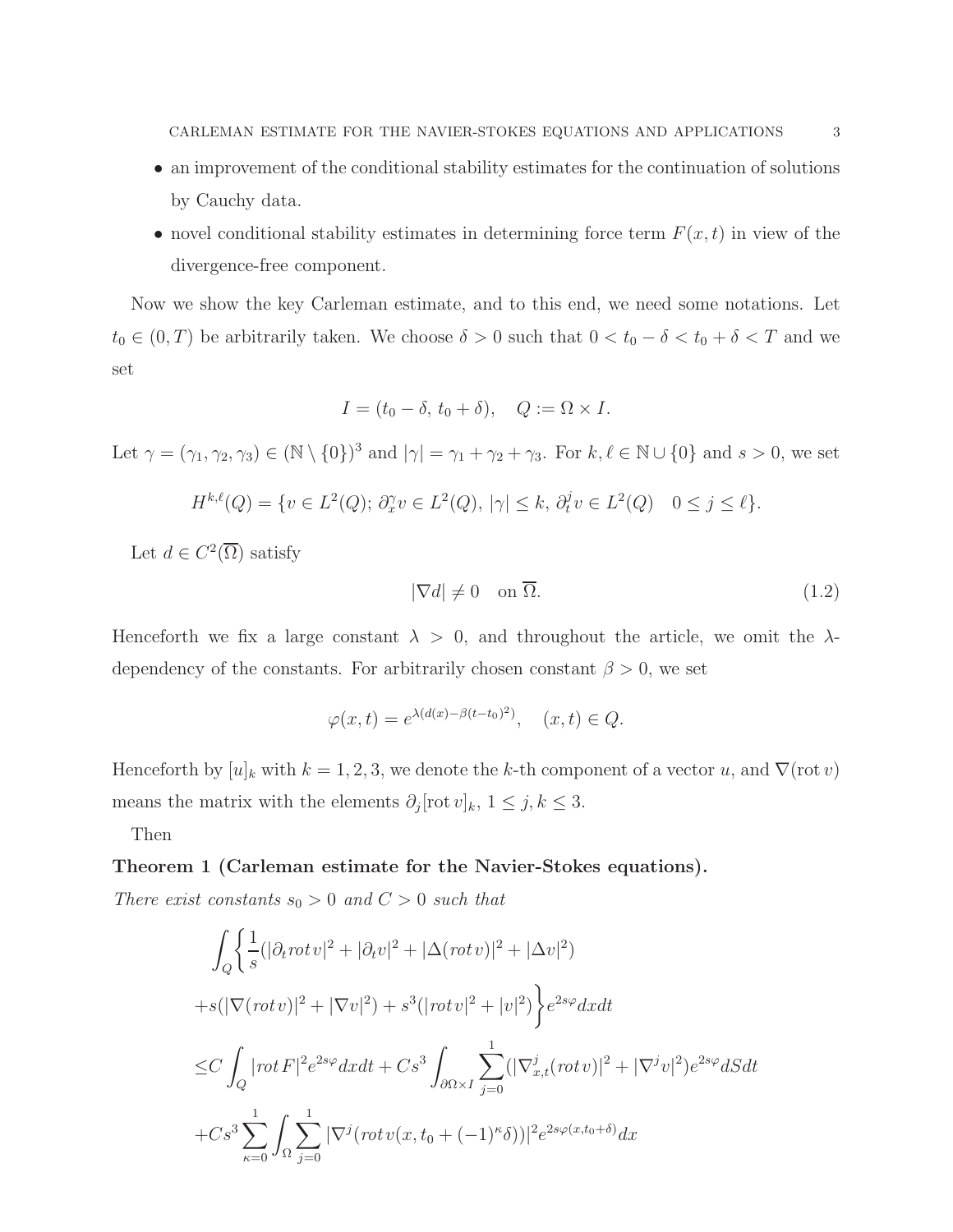- an improvement of the conditional stability estimates for the continuation of solutions by Cauchy data.
- novel conditional stability estimates in determining force term  $F(x, t)$  in view of the divergence-free component.

Now we show the key Carleman estimate, and to this end, we need some notations. Let  $t_0 \in (0, T)$  be arbitrarily taken. We choose  $\delta > 0$  such that  $0 < t_0 - \delta < t_0 + \delta < T$  and we set

$$
I = (t_0 - \delta, t_0 + \delta), \quad Q := \Omega \times I.
$$

Let  $\gamma = (\gamma_1, \gamma_2, \gamma_3) \in (\mathbb{N} \setminus \{0\})^3$  and  $|\gamma| = \gamma_1 + \gamma_2 + \gamma_3$ . For  $k, \ell \in \mathbb{N} \cup \{0\}$  and  $s > 0$ , we set

$$
H^{k,\ell}(Q) = \{ v \in L^2(Q); \ \partial_x^{\gamma} v \in L^2(Q), \ |\gamma| \le k, \ \partial_t^j v \in L^2(Q) \quad 0 \le j \le \ell \}.
$$

Let  $d \in C^2(\overline{\Omega})$  satisfy

$$
|\nabla d| \neq 0 \quad \text{on } \overline{\Omega}.\tag{1.2}
$$

Henceforth we fix a large constant  $\lambda > 0$ , and throughout the article, we omit the  $\lambda$ dependency of the constants. For arbitrarily chosen constant  $\beta > 0$ , we set

$$
\varphi(x,t) = e^{\lambda(d(x) - \beta(t - t_0)^2)}, \quad (x,t) \in Q.
$$

Henceforth by  $[u]_k$  with  $k = 1, 2, 3$ , we denote the k-th component of a vector u, and  $\nabla(\text{rot } v)$ means the matrix with the elements  $\partial_j[\text{rot } v]_k$ ,  $1 \leq j, k \leq 3$ .

Then

#### Theorem 1 (Carleman estimate for the Navier-Stokes equations).

There exist constants  $s_0 > 0$  and  $C > 0$  such that

$$
\int_{Q} \left\{ \frac{1}{s} (|\partial_t rot v|^2 + |\partial_t v|^2 + |\Delta (rot v)|^2 + |\Delta v|^2) \right\}
$$
  
+ $s(|\nabla (rot v)|^2 + |\nabla v|^2) + s^3 (|rot v|^2 + |v|^2) \right\} e^{2s\varphi} dx dt$   

$$
\leq C \int_{Q} |rot F|^2 e^{2s\varphi} dx dt + Cs^3 \int_{\partial\Omega \times I} \sum_{j=0}^1 (|\nabla_{x,t}^j (rot v)|^2 + |\nabla^j v|^2) e^{2s\varphi} dS dt
$$
  
+ $Cs^3 \sum_{\kappa=0}^1 \int_{\Omega} \sum_{j=0}^1 |\nabla^j (rot v(x, t_0 + (-1)^\kappa \delta))|^2 e^{2s\varphi(x, t_0 + \delta)} dx$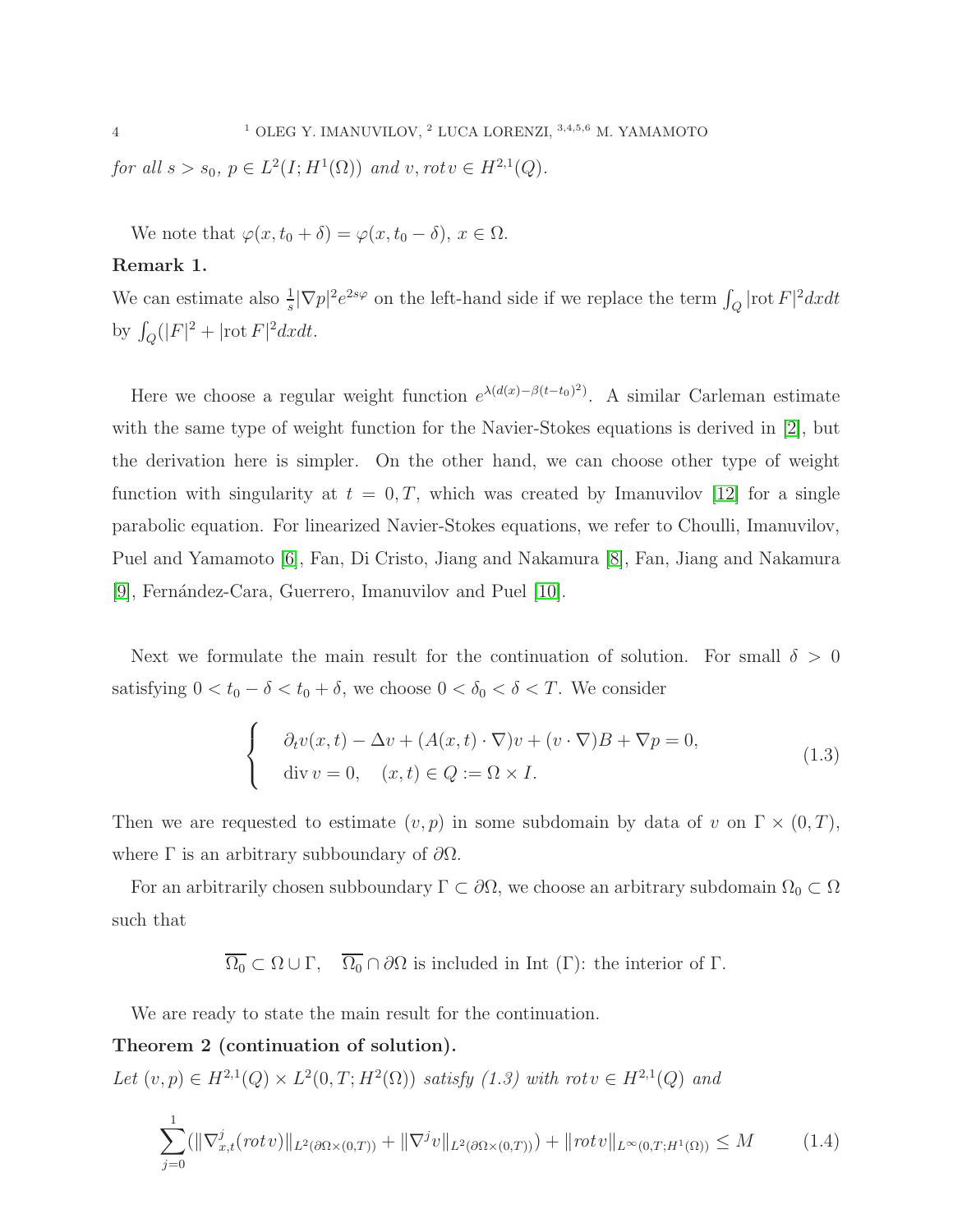for all  $s > s_0$ ,  $p \in L^2(I; H^1(\Omega))$  and  $v, rot v \in H^{2,1}(Q)$ .

We note that  $\varphi(x, t_0 + \delta) = \varphi(x, t_0 - \delta), x \in \Omega$ .

## Remark 1.

We can estimate also  $\frac{1}{s}|\nabla p|^2e^{2s\varphi}$  on the left-hand side if we replace the term  $\int_Q |\text{rot } F|^2 dxdt$ by  $\int_{Q} (|F|^{2} + |\text{rot } F|^{2} dx dt$ .

Here we choose a regular weight function  $e^{\lambda(d(x)-\beta(t-t_0)^2)}$ . A similar Carleman estimate with the same type of weight function for the Navier-Stokes equations is derived in [\[2\]](#page-29-3), but the derivation here is simpler. On the other hand, we can choose other type of weight function with singularity at  $t = 0, T$ , which was created by Imanuvilov [\[12\]](#page-29-10) for a single parabolic equation. For linearized Navier-Stokes equations, we refer to Choulli, Imanuvilov, Puel and Yamamoto [\[6\]](#page-29-5), Fan, Di Cristo, Jiang and Nakamura [\[8\]](#page-29-7), Fan, Jiang and Nakamura [\[9\]](#page-29-8), Fernández-Cara, Guerrero, Imanuvilov and Puel [\[10\]](#page-29-11).

Next we formulate the main result for the continuation of solution. For small  $\delta > 0$ satisfying  $0 < t_0 - \delta < t_0 + \delta$ , we choose  $0 < \delta_0 < \delta < T$ . We consider

$$
\begin{cases}\n\partial_t v(x,t) - \Delta v + (A(x,t) \cdot \nabla)v + (v \cdot \nabla)B + \nabla p = 0, \\
\text{div } v = 0, \quad (x,t) \in Q := \Omega \times I.\n\end{cases}
$$
\n(1.3)

Then we are requested to estimate  $(v, p)$  in some subdomain by data of v on  $\Gamma \times (0, T)$ , where  $\Gamma$  is an arbitrary subboundary of  $\partial\Omega$ .

For an arbitrarily chosen subboundary  $\Gamma \subset \partial\Omega$ , we choose an arbitrary subdomain  $\Omega_0 \subset \Omega$ such that

 $\overline{\Omega_0} \subset \Omega \cup \Gamma$ ,  $\overline{\Omega_0} \cap \partial \Omega$  is included in Int (Γ): the interior of Γ.

We are ready to state the main result for the continuation.

Theorem 2 (continuation of solution).

Let  $(v, p) \in H^{2,1}(Q) \times L^2(0,T; H^2(\Omega))$  satisfy  $(1.3)$  with rot  $v \in H^{2,1}(Q)$  and

$$
\sum_{j=0}^{1} (||\nabla_{x,t}^{j}(rotv)||_{L^{2}(\partial\Omega\times(0,T))} + ||\nabla^{j}v||_{L^{2}(\partial\Omega\times(0,T))}) + ||rotv||_{L^{\infty}(0,T;H^{1}(\Omega))} \leq M
$$
 (1.4)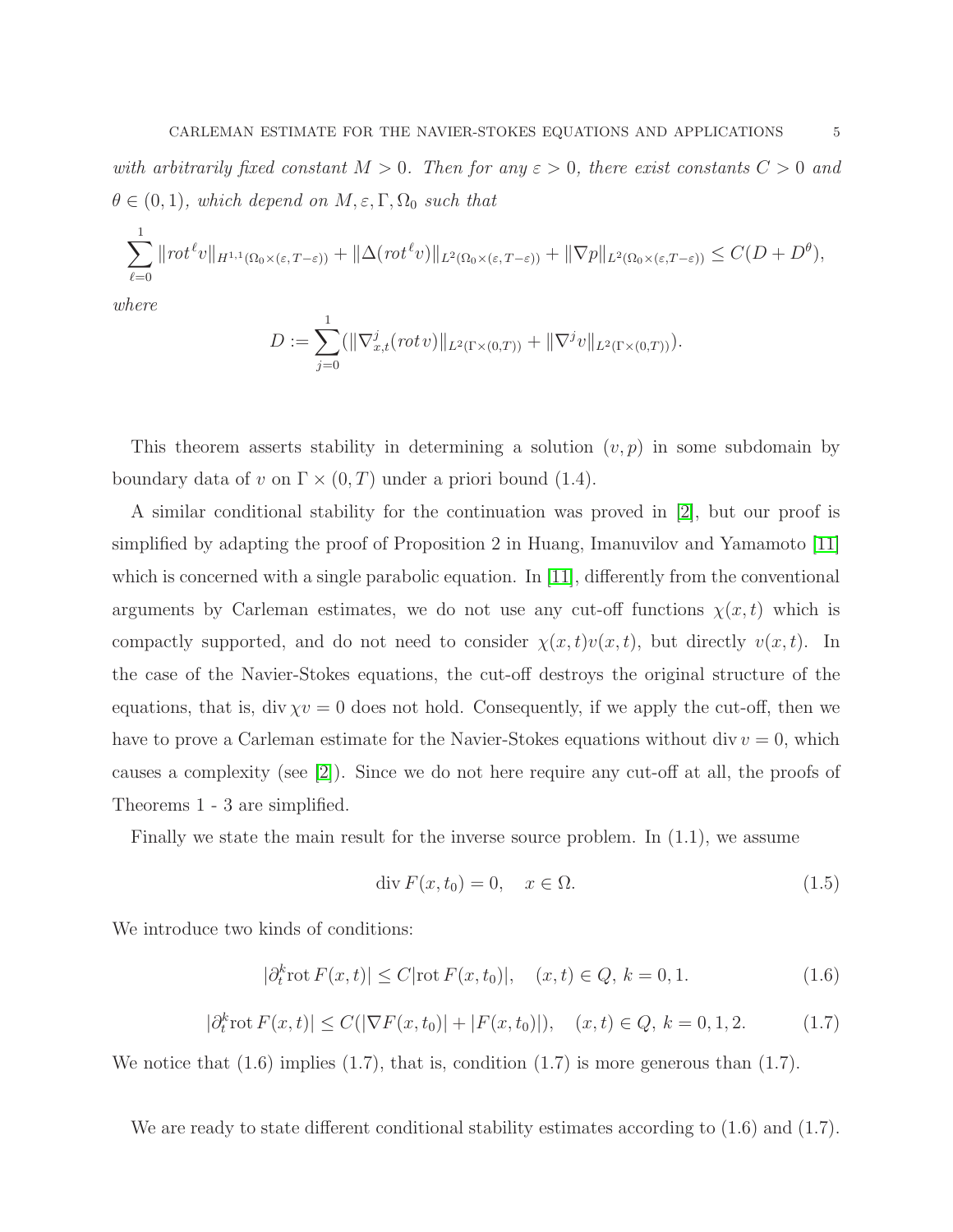with arbitrarily fixed constant  $M > 0$ . Then for any  $\varepsilon > 0$ , there exist constants  $C > 0$  and  $\theta \in (0,1)$ , which depend on  $M, \varepsilon, \Gamma, \Omega_0$  such that

$$
\sum_{\ell=0}^1 \| \text{rot}^{\ell} v \|_{H^{1,1}(\Omega_0 \times (\varepsilon, T-\varepsilon))} + \| \Delta (\text{rot}^{\ell} v) \|_{L^2(\Omega_0 \times (\varepsilon, T-\varepsilon))} + \| \nabla p \|_{L^2(\Omega_0 \times (\varepsilon, T-\varepsilon))} \leq C(D+D^{\theta}),
$$

where

$$
D:=\sum_{j=0}^1(\|\nabla_{x,t}^j(\operatorname{rot} v)\|_{L^2(\Gamma\times(0,T))}+\|\nabla^j v\|_{L^2(\Gamma\times(0,T))}).
$$

This theorem asserts stability in determining a solution  $(v, p)$  in some subdomain by boundary data of v on  $\Gamma \times (0,T)$  under a priori bound (1.4).

A similar conditional stability for the continuation was proved in [\[2\]](#page-29-3), but our proof is simplified by adapting the proof of Proposition 2 in Huang, Imanuvilov and Yamamoto [\[11\]](#page-29-9) which is concerned with a single parabolic equation. In [\[11\]](#page-29-9), differently from the conventional arguments by Carleman estimates, we do not use any cut-off functions  $\chi(x, t)$  which is compactly supported, and do not need to consider  $\chi(x, t)v(x, t)$ , but directly  $v(x, t)$ . In the case of the Navier-Stokes equations, the cut-off destroys the original structure of the equations, that is, div  $\chi v = 0$  does not hold. Consequently, if we apply the cut-off, then we have to prove a Carleman estimate for the Navier-Stokes equations without  $div v = 0$ , which causes a complexity (see [\[2\]](#page-29-3)). Since we do not here require any cut-off at all, the proofs of Theorems 1 - 3 are simplified.

Finally we state the main result for the inverse source problem. In (1.1), we assume

$$
\operatorname{div} F(x, t_0) = 0, \quad x \in \Omega. \tag{1.5}
$$

We introduce two kinds of conditions:

$$
|\partial_t^k \text{rot} F(x, t)| \le C |\text{rot} F(x, t_0)|, \quad (x, t) \in Q, \, k = 0, 1. \tag{1.6}
$$

$$
|\partial_t^k \text{rot } F(x,t)| \le C(|\nabla F(x,t_0)| + |F(x,t_0)|), \quad (x,t) \in Q, \, k = 0,1,2. \tag{1.7}
$$

We notice that  $(1.6)$  implies  $(1.7)$ , that is, condition  $(1.7)$  is more generous than  $(1.7)$ .

We are ready to state different conditional stability estimates according to  $(1.6)$  and  $(1.7)$ .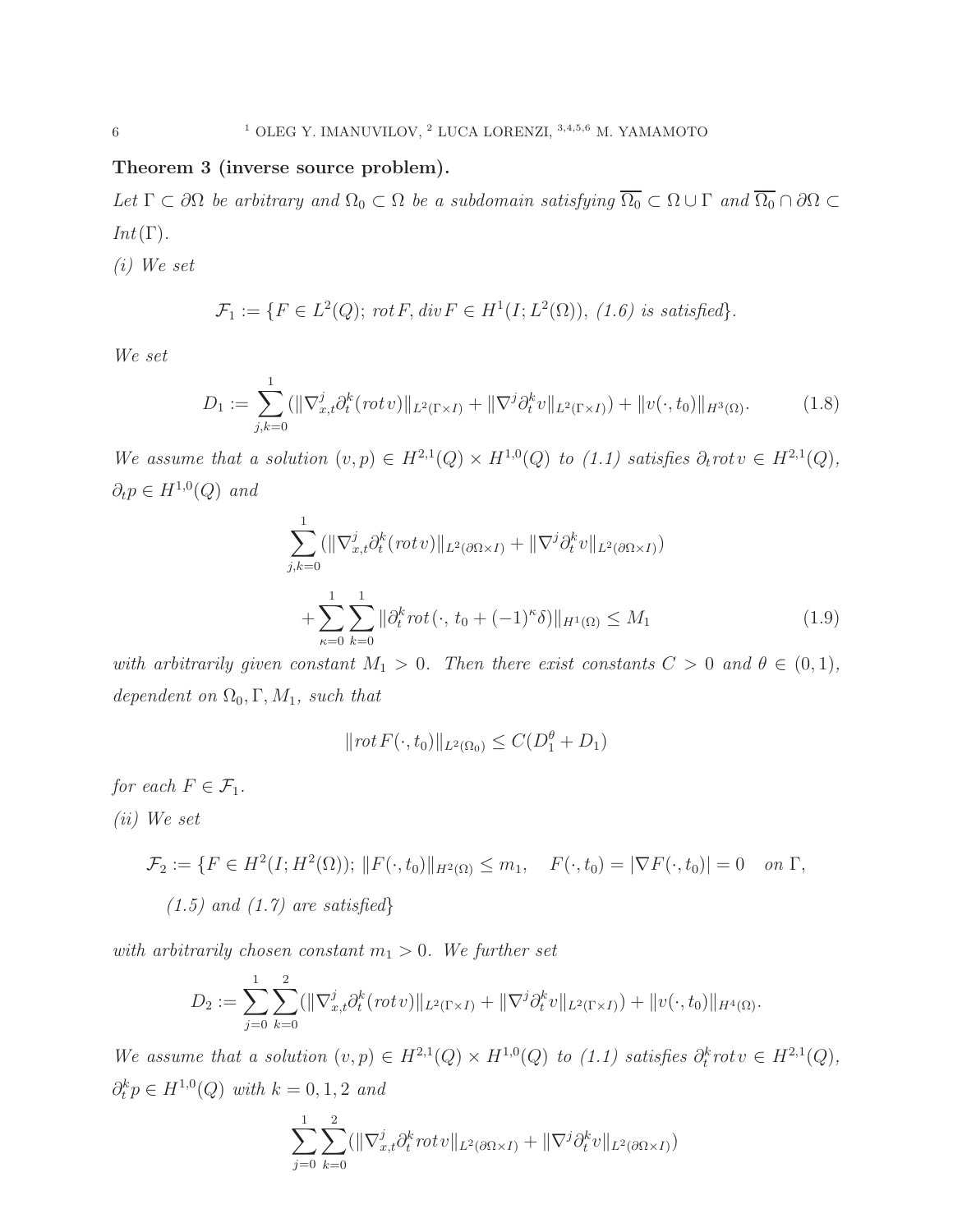## Theorem 3 (inverse source problem).

Let  $\Gamma \subset \partial\Omega$  be arbitrary and  $\Omega_0 \subset \Omega$  be a subdomain satisfying  $\overline{\Omega_0} \subset \Omega \cup \Gamma$  and  $\overline{\Omega_0} \cap \partial\Omega \subset \Omega$  $Int(\Gamma).$ 

(i) We set

$$
\mathcal{F}_1 := \{ F \in L^2(Q); \,\text{rot } F, \text{div } F \in H^1(I; L^2(\Omega)), \,(1.6) \,\text{ is satisfied} \}.
$$

We set

$$
D_1 := \sum_{j,k=0}^1 (||\nabla_{x,t}^j \partial_t^k (rotv)||_{L^2(\Gamma \times I)} + ||\nabla^j \partial_t^k v||_{L^2(\Gamma \times I)}) + ||v(\cdot, t_0)||_{H^3(\Omega)}.
$$
 (1.8)

We assume that a solution  $(v, p) \in H^{2,1}(Q) \times H^{1,0}(Q)$  to  $(1.1)$  satisfies  $\partial_t rot v \in H^{2,1}(Q)$ ,  $\partial_t p \in H^{1,0}(Q)$  and

$$
\sum_{j,k=0}^{1} (\|\nabla_{x,t}^{j} \partial_{t}^{k} (rot v)\|_{L^{2}(\partial \Omega \times I)} + \|\nabla^{j} \partial_{t}^{k} v\|_{L^{2}(\partial \Omega \times I)}) + \sum_{\kappa=0}^{1} \sum_{k=0}^{1} \|\partial_{t}^{k} rot (\cdot, t_{0} + (-1)^{\kappa} \delta) \|_{H^{1}(\Omega)} \leq M_{1}
$$
\n(1.9)

with arbitrarily given constant  $M_1 > 0$ . Then there exist constants  $C > 0$  and  $\theta \in (0,1)$ , dependent on  $\Omega_0, \Gamma, M_1$ , such that

$$
||\operatorname{rot} F(\cdot, t_0)||_{L^2(\Omega_0)} \le C(D_1^{\theta} + D_1)
$$

for each  $F \in \mathcal{F}_1$ .

(ii) We set

$$
\mathcal{F}_2 := \{ F \in H^2(I; H^2(\Omega)); ||F(\cdot, t_0)||_{H^2(\Omega)} \le m_1, \quad F(\cdot, t_0) = |\nabla F(\cdot, t_0)| = 0 \quad on \ \Gamma,
$$
  
(1.5) and (1.7) are satisfied\}

with arbitrarily chosen constant  $m_1 > 0$ . We further set

$$
D_2 := \sum_{j=0}^1 \sum_{k=0}^2 (\|\nabla_{x,t}^j \partial_t^k (rot\, v)\|_{L^2(\Gamma \times I)} + \|\nabla^j \partial_t^k v\|_{L^2(\Gamma \times I)}) + \|v(\cdot, t_0)\|_{H^4(\Omega)}.
$$

We assume that a solution  $(v, p) \in H^{2,1}(Q) \times H^{1,0}(Q)$  to  $(1.1)$  satisfies  $\partial_t^k rot v \in H^{2,1}(Q)$ ,  $\partial_t^k p \in H^{1,0}(Q)$  with  $k = 0, 1, 2$  and

$$
\sum_{j=0}^{1} \sum_{k=0}^{2} (\|\nabla_{x,t}^{j} \partial_t^k rot v\|_{L^2(\partial \Omega \times I)} + \|\nabla^j \partial_t^k v\|_{L^2(\partial \Omega \times I)})
$$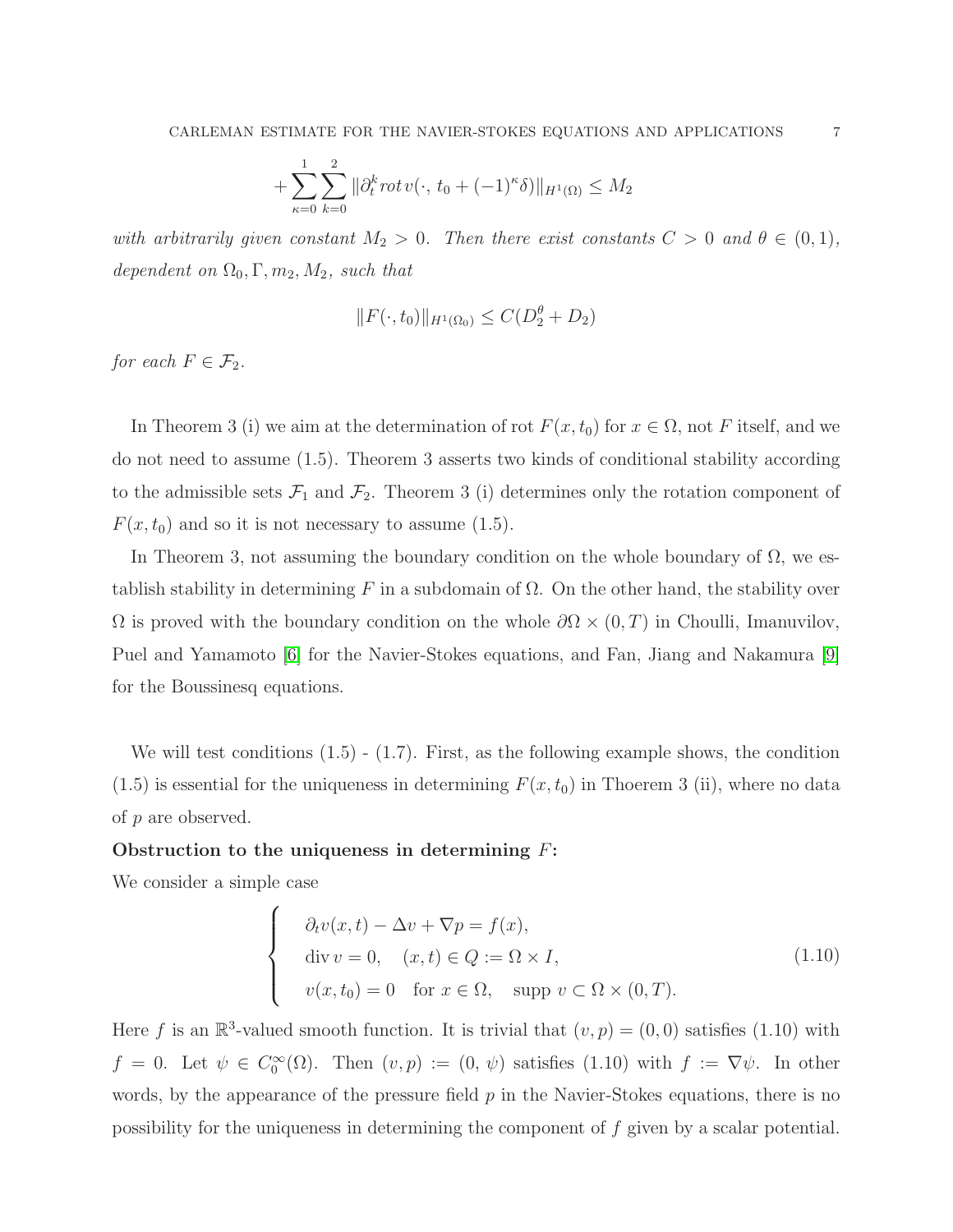$$
+\sum_{\kappa=0}^{1}\sum_{k=0}^{2} \|\partial_t^k rot v(\cdot, t_0 + (-1)^{\kappa}\delta)\|_{H^1(\Omega)} \le M_2
$$

with arbitrarily given constant  $M_2 > 0$ . Then there exist constants  $C > 0$  and  $\theta \in (0, 1)$ , dependent on  $\Omega_0, \Gamma, m_2, M_2$ , such that

$$
||F(\cdot,t_0)||_{H^1(\Omega_0)} \le C(D_2^{\theta} + D_2)
$$

for each  $F \in \mathcal{F}_2$ .

In Theorem 3 (i) we aim at the determination of rot  $F(x, t_0)$  for  $x \in \Omega$ , not F itself, and we do not need to assume (1.5). Theorem 3 asserts two kinds of conditional stability according to the admissible sets  $\mathcal{F}_1$  and  $\mathcal{F}_2$ . Theorem 3 (i) determines only the rotation component of  $F(x, t_0)$  and so it is not necessary to assume (1.5).

In Theorem 3, not assuming the boundary condition on the whole boundary of  $\Omega$ , we establish stability in determining F in a subdomain of  $\Omega$ . On the other hand, the stability over  $\Omega$  is proved with the boundary condition on the whole  $\partial\Omega \times (0,T)$  in Choulli, Imanuvilov, Puel and Yamamoto [\[6\]](#page-29-5) for the Navier-Stokes equations, and Fan, Jiang and Nakamura [\[9\]](#page-29-8) for the Boussinesq equations.

We will test conditions  $(1.5)$  -  $(1.7)$ . First, as the following example shows, the condition  $(1.5)$  is essential for the uniqueness in determining  $F(x, t_0)$  in Thoerem 3 (ii), where no data of p are observed.

## Obstruction to the uniqueness in determining  $F$ :

We consider a simple case

$$
\begin{cases}\n\partial_t v(x,t) - \Delta v + \nabla p = f(x), \\
\text{div } v = 0, \quad (x,t) \in Q := \Omega \times I, \\
v(x,t_0) = 0 \quad \text{for } x \in \Omega, \quad \text{supp } v \subset \Omega \times (0,T).\n\end{cases}
$$
\n(1.10)

Here f is an  $\mathbb{R}^3$ -valued smooth function. It is trivial that  $(v, p) = (0, 0)$  satisfies (1.10) with  $f = 0$ . Let  $\psi \in C_0^{\infty}(\Omega)$ . Then  $(v, p) := (0, \psi)$  satisfies  $(1.10)$  with  $f := \nabla \psi$ . In other words, by the appearance of the pressure field  $p$  in the Navier-Stokes equations, there is no possibility for the uniqueness in determining the component of f given by a scalar potential.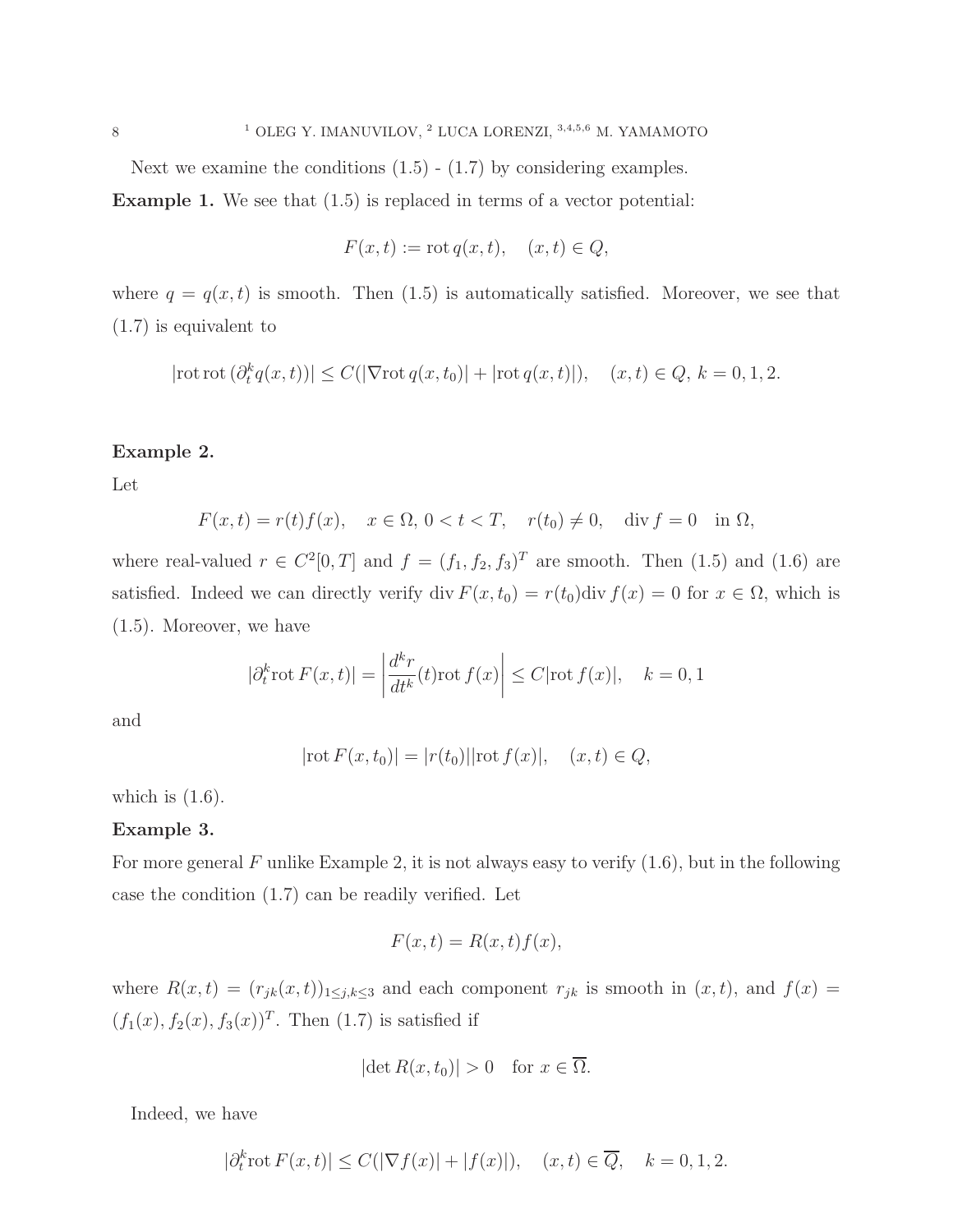Next we examine the conditions  $(1.5)$  -  $(1.7)$  by considering examples.

Example 1. We see that (1.5) is replaced in terms of a vector potential:

$$
F(x,t) := \operatorname{rot} q(x,t), \quad (x,t) \in Q,
$$

where  $q = q(x, t)$  is smooth. Then (1.5) is automatically satisfied. Moreover, we see that (1.7) is equivalent to

$$
|\text{rot rot}(\partial_t^k q(x,t))| \le C(|\nabla \text{rot} q(x,t_0)| + |\text{rot} q(x,t)|), \quad (x,t) \in Q, \, k = 0, 1, 2.
$$

## Example 2.

Let

$$
F(x,t) = r(t)f(x), \quad x \in \Omega, 0 < t < T, \quad r(t_0) \neq 0, \quad \text{div } f = 0 \quad \text{in } \Omega,
$$

where real-valued  $r \in C^2[0,T]$  and  $f = (f_1, f_2, f_3)^T$  are smooth. Then  $(1.5)$  and  $(1.6)$  are satisfied. Indeed we can directly verify div  $F(x, t_0) = r(t_0)$ div  $f(x) = 0$  for  $x \in \Omega$ , which is (1.5). Moreover, we have

$$
|\partial_t^k \operatorname{rot} F(x,t)| = \left| \frac{d^k r}{dt^k}(t) \operatorname{rot} f(x) \right| \le C |\operatorname{rot} f(x)|, \quad k = 0, 1
$$

and

$$
|\text{rot } F(x, t_0)| = |r(t_0)||\text{rot } f(x)|, \quad (x, t) \in Q,
$$

which is  $(1.6)$ .

### Example 3.

For more general F unlike Example 2, it is not always easy to verify  $(1.6)$ , but in the following case the condition (1.7) can be readily verified. Let

$$
F(x,t) = R(x,t)f(x),
$$

where  $R(x,t) = (r_{jk}(x,t))_{1 \leq j,k \leq 3}$  and each component  $r_{jk}$  is smooth in  $(x,t)$ , and  $f(x) =$  $(f_1(x), f_2(x), f_3(x))^T$ . Then (1.7) is satisfied if

$$
|\det R(x, t_0)| > 0 \quad \text{for } x \in \overline{\Omega}.
$$

Indeed, we have

$$
|\partial_t^k \operatorname{rot} F(x,t)| \le C(|\nabla f(x)| + |f(x)|), \quad (x,t) \in \overline{Q}, \quad k = 0, 1, 2.
$$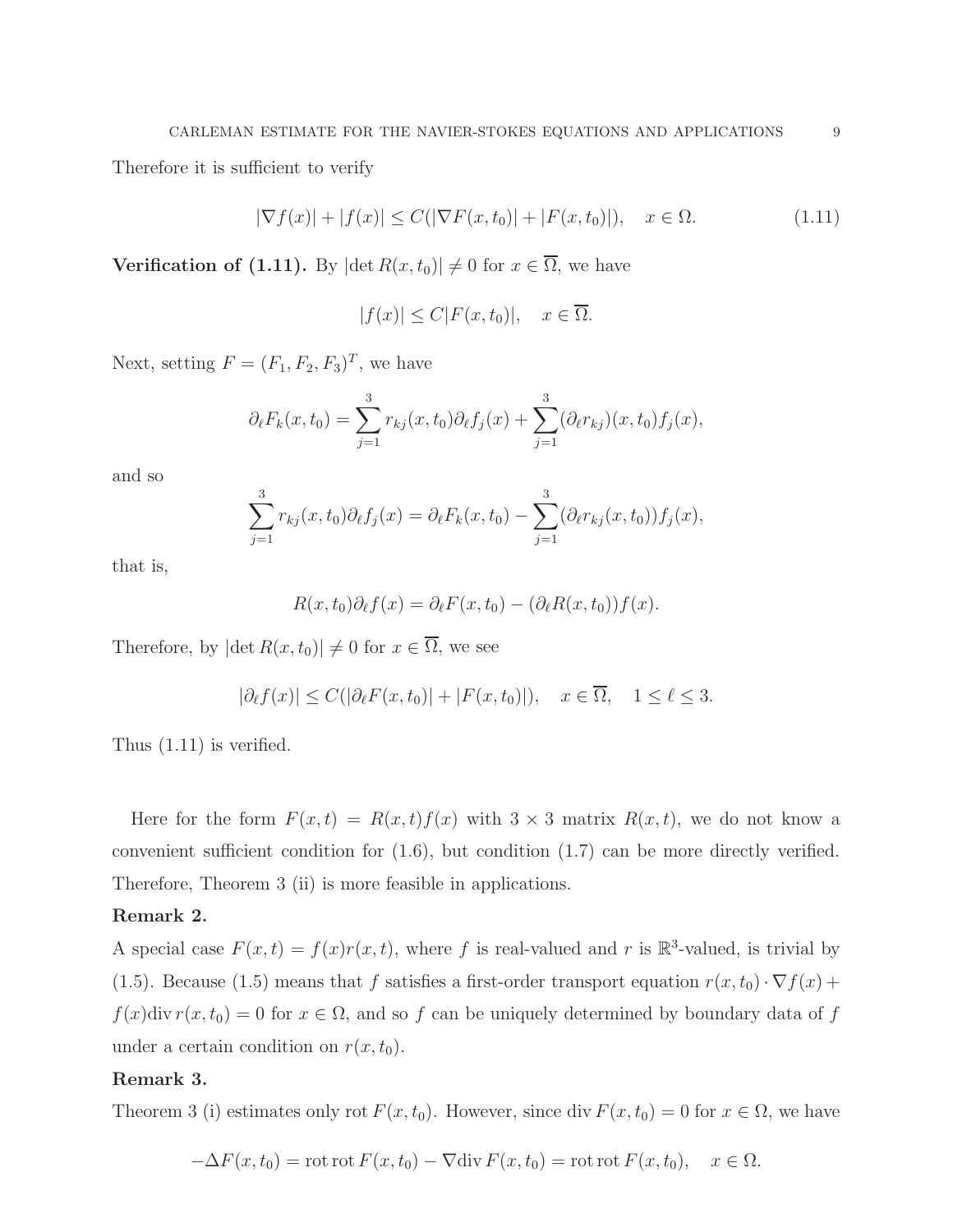Therefore it is sufficient to verify

$$
|\nabla f(x)| + |f(x)| \le C(|\nabla F(x, t_0)| + |F(x, t_0)|), \quad x \in \Omega.
$$
 (1.11)

**Verification of (1.11).** By  $|\det R(x, t_0)| \neq 0$  for  $x \in \overline{\Omega}$ , we have

$$
|f(x)| \le C|F(x,t_0)|, \quad x \in \overline{\Omega}.
$$

Next, setting  $F = (F_1, F_2, F_3)^T$ , we have

$$
\partial_{\ell} F_k(x, t_0) = \sum_{j=1}^3 r_{kj}(x, t_0) \partial_{\ell} f_j(x) + \sum_{j=1}^3 (\partial_{\ell} r_{kj})(x, t_0) f_j(x),
$$

and so

$$
\sum_{j=1}^{3} r_{kj}(x, t_0) \partial_{\ell} f_j(x) = \partial_{\ell} F_k(x, t_0) - \sum_{j=1}^{3} (\partial_{\ell} r_{kj}(x, t_0)) f_j(x),
$$

that is,

$$
R(x,t_0)\partial_{\ell}f(x) = \partial_{\ell}F(x,t_0) - (\partial_{\ell}R(x,t_0))f(x).
$$

Therefore, by  $|\det R(x, t_0)| \neq 0$  for  $x \in \overline{\Omega}$ , we see

$$
|\partial_{\ell} f(x)| \le C(|\partial_{\ell} F(x, t_0)| + |F(x, t_0)|), \quad x \in \overline{\Omega}, \quad 1 \le \ell \le 3.
$$

Thus (1.11) is verified.

Here for the form  $F(x,t) = R(x,t)f(x)$  with  $3 \times 3$  matrix  $R(x,t)$ , we do not know a convenient sufficient condition for (1.6), but condition (1.7) can be more directly verified. Therefore, Theorem 3 (ii) is more feasible in applications.

## Remark 2.

A special case  $F(x,t) = f(x)r(x,t)$ , where f is real-valued and r is  $\mathbb{R}^3$ -valued, is trivial by (1.5). Because (1.5) means that f satisfies a first-order transport equation  $r(x, t_0) \cdot \nabla f(x)$  +  $f(x)$ div  $r(x, t_0) = 0$  for  $x \in \Omega$ , and so f can be uniquely determined by boundary data of f under a certain condition on  $r(x, t_0)$ .

## Remark 3.

Theorem 3 (i) estimates only rot  $F(x, t_0)$ . However, since div  $F(x, t_0) = 0$  for  $x \in \Omega$ , we have

$$
-\Delta F(x,t_0) = \text{rot rot } F(x,t_0) - \nabla \text{div } F(x,t_0) = \text{rot rot } F(x,t_0), \quad x \in \Omega.
$$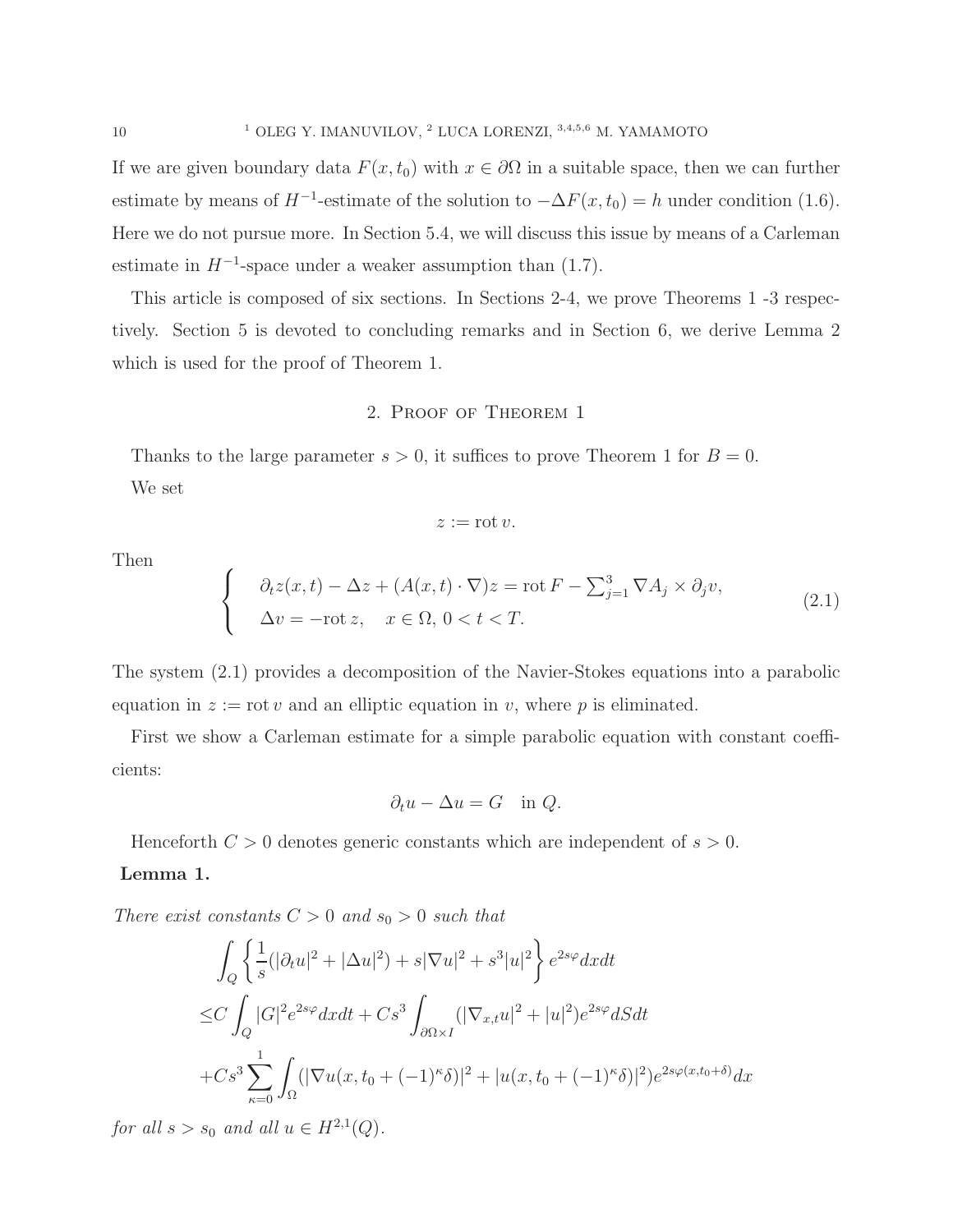If we are given boundary data  $F(x, t_0)$  with  $x \in \partial\Omega$  in a suitable space, then we can further estimate by means of  $H^{-1}$ -estimate of the solution to  $-\Delta F(x, t_0) = h$  under condition (1.6). Here we do not pursue more. In Section 5.4, we will discuss this issue by means of a Carleman estimate in  $H^{-1}$ -space under a weaker assumption than (1.7).

This article is composed of six sections. In Sections 2-4, we prove Theorems 1 -3 respectively. Section 5 is devoted to concluding remarks and in Section 6, we derive Lemma 2 which is used for the proof of Theorem 1.

## 2. Proof of Theorem 1

Thanks to the large parameter  $s > 0$ , it suffices to prove Theorem 1 for  $B = 0$ . We set

$$
z:=\operatorname{rot} v.
$$

Then

$$
\begin{cases}\n\partial_t z(x,t) - \Delta z + (A(x,t) \cdot \nabla) z = \text{rot } F - \sum_{j=1}^3 \nabla A_j \times \partial_j v, \\
\Delta v = -\text{rot } z, \quad x \in \Omega, \ 0 < t < T.\n\end{cases} \tag{2.1}
$$

The system (2.1) provides a decomposition of the Navier-Stokes equations into a parabolic equation in  $z := \text{rot } v$  and an elliptic equation in v, where p is eliminated.

First we show a Carleman estimate for a simple parabolic equation with constant coefficients:

$$
\partial_t u - \Delta u = G \quad \text{in } Q.
$$

Henceforth  $C > 0$  denotes generic constants which are independent of  $s > 0$ .

## Lemma 1.

There exist constants  $C > 0$  and  $s_0 > 0$  such that

$$
\int_{Q} \left\{ \frac{1}{s} (|\partial_{t} u|^{2} + |\Delta u|^{2}) + s |\nabla u|^{2} + s^{3} |u|^{2} \right\} e^{2s\varphi} dx dt
$$
  
\n
$$
\leq C \int_{Q} |G|^{2} e^{2s\varphi} dx dt + Cs^{3} \int_{\partial \Omega \times I} (|\nabla_{x,t} u|^{2} + |u|^{2}) e^{2s\varphi} dS dt
$$
  
\n
$$
+ Cs^{3} \sum_{\kappa=0}^{1} \int_{\Omega} (|\nabla u(x, t_{0} + (-1)^{\kappa} \delta)|^{2} + |u(x, t_{0} + (-1)^{\kappa} \delta)|^{2}) e^{2s\varphi(x, t_{0} + \delta)} dx
$$

for all  $s > s_0$  and all  $u \in H^{2,1}(Q)$ .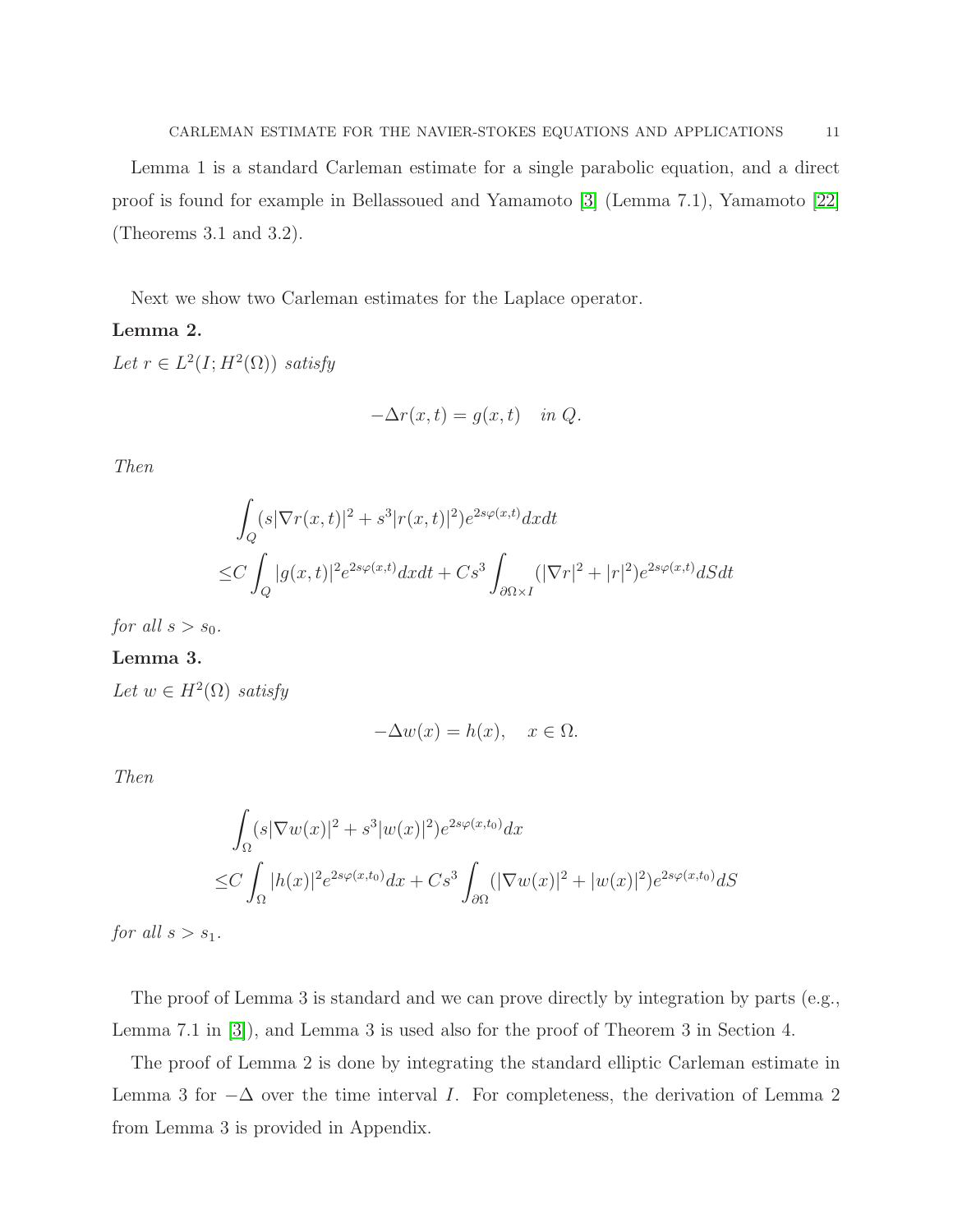Lemma 1 is a standard Carleman estimate for a single parabolic equation, and a direct proof is found for example in Bellassoued and Yamamoto [\[3\]](#page-29-2) (Lemma 7.1), Yamamoto [\[22\]](#page-30-5) (Theorems 3.1 and 3.2).

Next we show two Carleman estimates for the Laplace operator.

## Lemma 2.

Let  $r \in L^2(I; H^2(\Omega))$  satisfy

$$
-\Delta r(x,t) = g(x,t) \quad in \ Q.
$$

Then

$$
\int_{Q} (s|\nabla r(x,t)|^2 + s^3|r(x,t)|^2)e^{2s\varphi(x,t)}dxdt
$$
  
\n
$$
\leq C \int_{Q} |g(x,t)|^2 e^{2s\varphi(x,t)}dxdt + Cs^3 \int_{\partial\Omega \times I} (|\nabla r|^2 + |r|^2)e^{2s\varphi(x,t)}dSdt
$$

for all  $s > s_0$ .

## Lemma 3.

Let  $w \in H^2(\Omega)$  satisfy

$$
-\Delta w(x) = h(x), \quad x \in \Omega.
$$

Then

$$
\int_{\Omega} (s|\nabla w(x)|^2 + s^3|w(x)|^2)e^{2s\varphi(x,t_0)}dx
$$
  
\n
$$
\leq C \int_{\Omega} |h(x)|^2 e^{2s\varphi(x,t_0)}dx + Cs^3 \int_{\partial\Omega} (|\nabla w(x)|^2 + |w(x)|^2)e^{2s\varphi(x,t_0)}dS
$$

for all  $s > s_1$ .

The proof of Lemma 3 is standard and we can prove directly by integration by parts (e.g., Lemma 7.1 in [\[3\]](#page-29-2)), and Lemma 3 is used also for the proof of Theorem 3 in Section 4.

The proof of Lemma 2 is done by integrating the standard elliptic Carleman estimate in Lemma 3 for  $-\Delta$  over the time interval *I*. For completeness, the derivation of Lemma 2 from Lemma 3 is provided in Appendix.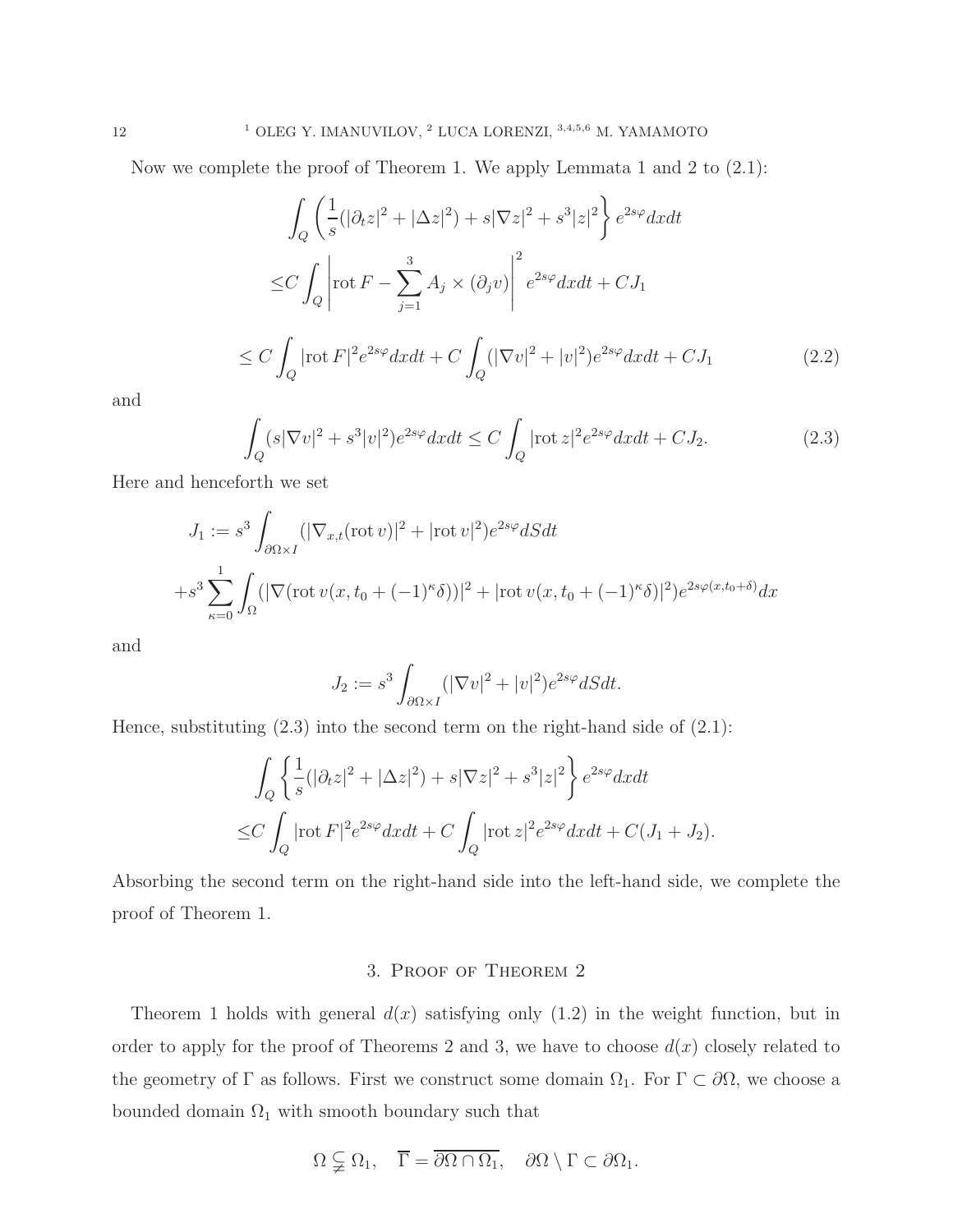Now we complete the proof of Theorem 1. We apply Lemmata 1 and 2 to (2.1):

$$
\int_{Q} \left( \frac{1}{s} (|\partial_t z|^2 + |\Delta z|^2) + s |\nabla z|^2 + s^3 |z|^2 \right) e^{2s\varphi} dx dt
$$
  
\n
$$
\leq C \int_{Q} \left| \operatorname{rot} F - \sum_{j=1}^3 A_j \times (\partial_j v) \right|^2 e^{2s\varphi} dx dt + C J_1
$$
  
\n
$$
\leq C \int_{Q} |\operatorname{rot} F|^2 e^{2s\varphi} dx dt + C \int_{Q} (|\nabla v|^2 + |v|^2) e^{2s\varphi} dx dt + C J_1
$$
\n(2.2)

and

$$
\int_{Q} (s|\nabla v|^{2} + s^{3}|v|^{2})e^{2s\varphi}dxdt \le C \int_{Q} |\text{rot } z|^{2}e^{2s\varphi}dxdt + CJ_{2}.
$$
\n(2.3)

Here and henceforth we set

$$
J_1 := s^3 \int_{\partial \Omega \times I} (|\nabla_{x,t} (\operatorname{rot} v)|^2 + |\operatorname{rot} v|^2) e^{2s\varphi} dS dt
$$
  
+
$$
+ s^3 \sum_{\kappa=0}^1 \int_{\Omega} (|\nabla (\operatorname{rot} v(x, t_0 + (-1)^{\kappa} \delta))|^2 + |\operatorname{rot} v(x, t_0 + (-1)^{\kappa} \delta)|^2) e^{2s\varphi(x, t_0 + \delta)} dx
$$

and

$$
J_2 := s^3 \int_{\partial \Omega \times I} (|\nabla v|^2 + |v|^2) e^{2s\varphi} dS dt.
$$

Hence, substituting  $(2.3)$  into the second term on the right-hand side of  $(2.1)$ :

$$
\int_{Q} \left\{ \frac{1}{s} (|\partial_t z|^2 + |\Delta z|^2) + s|\nabla z|^2 + s^3|z|^2 \right\} e^{2s\varphi} dx dt
$$
  
\n
$$
\leq C \int_{Q} |\text{rot } F|^2 e^{2s\varphi} dx dt + C \int_{Q} |\text{rot } z|^2 e^{2s\varphi} dx dt + C(J_1 + J_2).
$$

Absorbing the second term on the right-hand side into the left-hand side, we complete the proof of Theorem 1.

## 3. Proof of Theorem 2

Theorem 1 holds with general  $d(x)$  satisfying only  $(1.2)$  in the weight function, but in order to apply for the proof of Theorems 2 and 3, we have to choose  $d(x)$  closely related to the geometry of  $\Gamma$  as follows. First we construct some domain  $\Omega_1$ . For  $\Gamma \subset \partial\Omega$ , we choose a bounded domain  $\Omega_1$  with smooth boundary such that

$$
\Omega \subsetneqq \Omega_1, \quad \overline{\Gamma} = \overline{\partial \Omega \cap \Omega_1}, \quad \partial \Omega \setminus \Gamma \subset \partial \Omega_1.
$$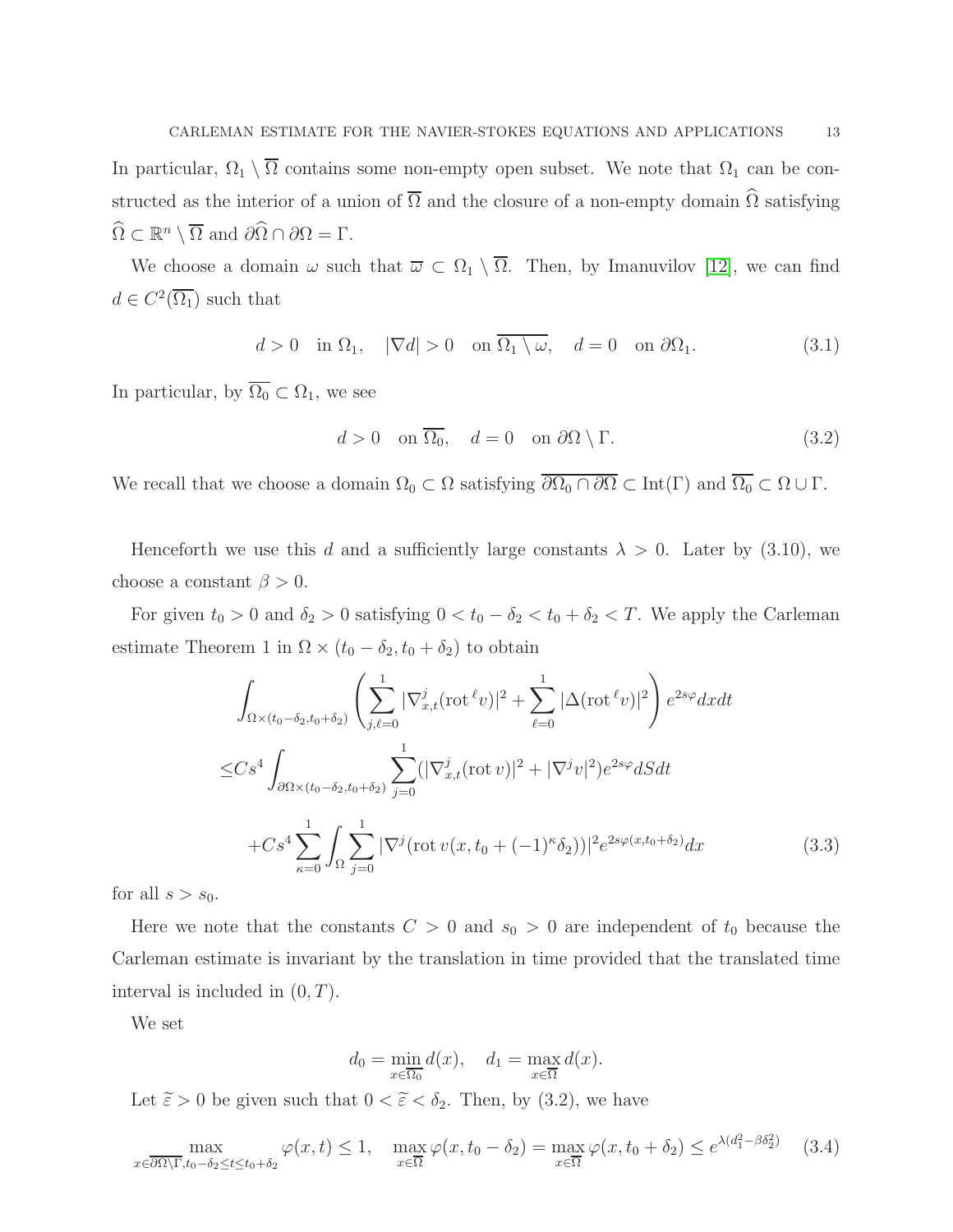In particular,  $\Omega_1 \setminus \overline{\Omega}$  contains some non-empty open subset. We note that  $\Omega_1$  can be constructed as the interior of a union of  $\overline{\Omega}$  and the closure of a non-empty domain  $\widehat{\Omega}$  satisfying  $\widehat{\Omega} \subset \mathbb{R}^n \setminus \overline{\Omega}$  and  $\partial \widehat{\Omega} \cap \partial \Omega = \Gamma$ .

We choose a domain  $\omega$  such that  $\overline{\omega} \subset \Omega_1 \setminus \overline{\Omega}$ . Then, by Imanuvilov [\[12\]](#page-29-10), we can find  $d \in C^2(\overline{\Omega_1})$  such that

$$
d > 0 \quad \text{in } \Omega_1, \quad |\nabla d| > 0 \quad \text{on } \overline{\Omega_1 \setminus \omega}, \quad d = 0 \quad \text{on } \partial \Omega_1. \tag{3.1}
$$

In particular, by  $\overline{\Omega_0} \subset \Omega_1$ , we see

$$
d > 0 \quad \text{on } \overline{\Omega_0}, \quad d = 0 \quad \text{on } \partial\Omega \setminus \Gamma. \tag{3.2}
$$

We recall that we choose a domain  $\Omega_0 \subset \Omega$  satisfying  $\overline{\partial \Omega_0 \cap \partial \Omega} \subset \text{Int}(\Gamma)$  and  $\overline{\Omega_0} \subset \Omega \cup \Gamma$ .

Henceforth we use this d and a sufficiently large constants  $\lambda > 0$ . Later by (3.10), we choose a constant  $\beta > 0$ .

For given  $t_0 > 0$  and  $\delta_2 > 0$  satisfying  $0 < t_0 - \delta_2 < t_0 + \delta_2 < T$ . We apply the Carleman estimate Theorem 1 in  $\Omega \times (t_0 - \delta_2, t_0 + \delta_2)$  to obtain

$$
\int_{\Omega \times (t_0 - \delta_2, t_0 + \delta_2)} \left( \sum_{j,\ell=0}^1 |\nabla_{x,t}^j (\text{rot}^{\ell} v)|^2 + \sum_{\ell=0}^1 |\Delta(\text{rot}^{\ell} v)|^2 \right) e^{2s\varphi} dx dt
$$
  
\n
$$
\leq C s^4 \int_{\partial \Omega \times (t_0 - \delta_2, t_0 + \delta_2)} \sum_{j=0}^1 (|\nabla_{x,t}^j (\text{rot} v)|^2 + |\nabla^j v|^2) e^{2s\varphi} dS dt
$$
  
\n
$$
+ C s^4 \sum_{\kappa=0}^1 \int_{\Omega} \sum_{j=0}^1 |\nabla^j (\text{rot} v(x, t_0 + (-1)^\kappa \delta_2))|^2 e^{2s\varphi(x, t_0 + \delta_2)} dx
$$
 (3.3)

for all  $s > s_0$ .

Here we note that the constants  $C > 0$  and  $s_0 > 0$  are independent of  $t_0$  because the Carleman estimate is invariant by the translation in time provided that the translated time interval is included in  $(0, T)$ .

We set

$$
d_0 = \min_{x \in \overline{\Omega_0}} d(x), \quad d_1 = \max_{x \in \overline{\Omega}} d(x).
$$

Let  $\tilde{\varepsilon} > 0$  be given such that  $0 < \tilde{\varepsilon} < \delta_2$ . Then, by (3.2), we have

$$
\max_{x \in \overline{\partial\Omega \setminus \Gamma}, t_0 - \delta_2 \le t \le t_0 + \delta_2} \varphi(x, t) \le 1, \quad \max_{x \in \overline{\Omega}} \varphi(x, t_0 - \delta_2) = \max_{x \in \overline{\Omega}} \varphi(x, t_0 + \delta_2) \le e^{\lambda(d_1^2 - \beta \delta_2^2)} \tag{3.4}
$$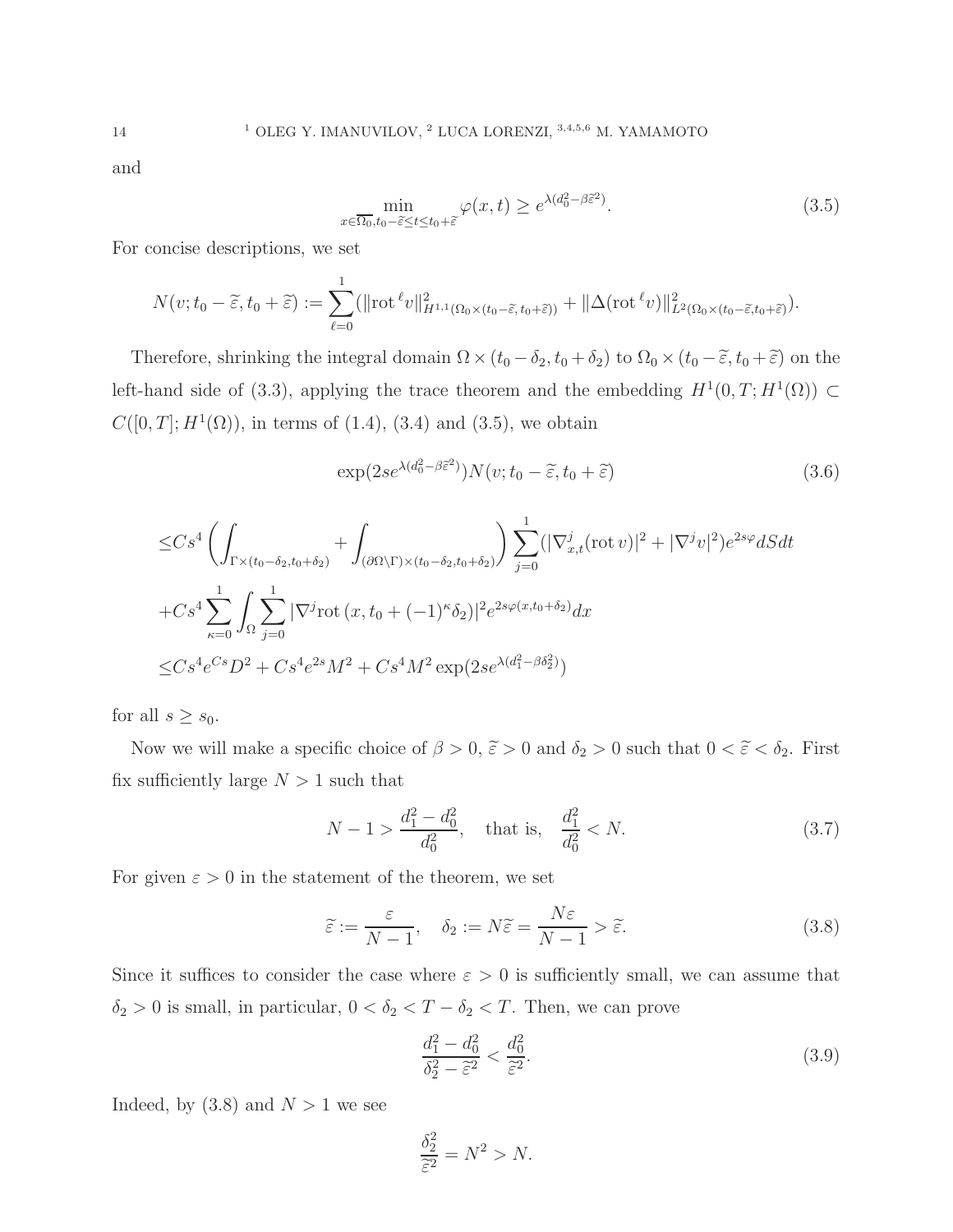and

$$
\min_{x \in \overline{\Omega_0}, t_0 - \tilde{\varepsilon} \le t \le t_0 + \tilde{\varepsilon}} \varphi(x, t) \ge e^{\lambda (d_0^2 - \beta \tilde{\varepsilon}^2)}.
$$
\n(3.5)

For concise descriptions, we set

$$
N(v;t_0-\widetilde{\varepsilon},t_0+\widetilde{\varepsilon}) := \sum_{\ell=0}^1 (||\text{rot}^{\ell}v||_{H^{1,1}(\Omega_0\times(t_0-\widetilde{\varepsilon},t_0+\widetilde{\varepsilon}))}^2 + ||\Delta(\text{rot}^{\ell}v)||_{L^2(\Omega_0\times(t_0-\widetilde{\varepsilon},t_0+\widetilde{\varepsilon}))}^2.
$$

Therefore, shrinking the integral domain  $\Omega \times (t_0 - \delta_2, t_0 + \delta_2)$  to  $\Omega_0 \times (t_0 - \tilde{\varepsilon}, t_0 + \tilde{\varepsilon})$  on the left-hand side of (3.3), applying the trace theorem and the embedding  $H^1(0,T;H^1(\Omega)) \subset$  $C([0, T]; H<sup>1</sup>(\Omega))$ , in terms of  $(1.4)$ ,  $(3.4)$  and  $(3.5)$ , we obtain

$$
\exp(2se^{\lambda(d_0^2 - \beta \tilde{\varepsilon}^2)})N(v; t_0 - \tilde{\varepsilon}, t_0 + \tilde{\varepsilon})
$$
\n(3.6)

$$
\leq C s^4 \left( \int_{\Gamma \times (t_0 - \delta_2, t_0 + \delta_2)} + \int_{(\partial \Omega \backslash \Gamma) \times (t_0 - \delta_2, t_0 + \delta_2)} \right) \sum_{j=0}^1 (|\nabla_{x,t}^j (\text{rot } v)|^2 + |\nabla^j v|^2) e^{2s\varphi} dS dt \n+ C s^4 \sum_{\kappa=0}^1 \int_{\Omega} \sum_{j=0}^1 |\nabla^j \text{rot } (x, t_0 + (-1)^\kappa \delta_2)|^2 e^{2s\varphi(x, t_0 + \delta_2)} dx \n\leq C s^4 e^{Cs} D^2 + C s^4 e^{2s} M^2 + C s^4 M^2 \exp(2se^{\lambda(d_1^2 - \beta \delta_2^2)})
$$

for all  $s \geq s_0$ .

Now we will make a specific choice of  $\beta > 0$ ,  $\tilde{\varepsilon} > 0$  and  $\delta_2 > 0$  such that  $0 < \tilde{\varepsilon} < \delta_2$ . First fix sufficiently large  $N > 1$  such that

$$
N - 1 > \frac{d_1^2 - d_0^2}{d_0^2}, \quad \text{that is,} \quad \frac{d_1^2}{d_0^2} < N. \tag{3.7}
$$

For given  $\varepsilon > 0$  in the statement of the theorem, we set

$$
\tilde{\varepsilon} := \frac{\varepsilon}{N - 1}, \quad \delta_2 := N\tilde{\varepsilon} = \frac{N\varepsilon}{N - 1} > \tilde{\varepsilon}.\tag{3.8}
$$

Since it suffices to consider the case where  $\varepsilon > 0$  is sufficiently small, we can assume that  $\delta_2 > 0$  is small, in particular,  $0 < \delta_2 < T - \delta_2 < T$ . Then, we can prove

$$
\frac{d_1^2 - d_0^2}{\delta_2^2 - \tilde{\varepsilon}^2} < \frac{d_0^2}{\tilde{\varepsilon}^2}.\tag{3.9}
$$

Indeed, by  $(3.8)$  and  $N > 1$  we see

$$
\frac{\delta_2^2}{\tilde{\varepsilon}^2} = N^2 > N.
$$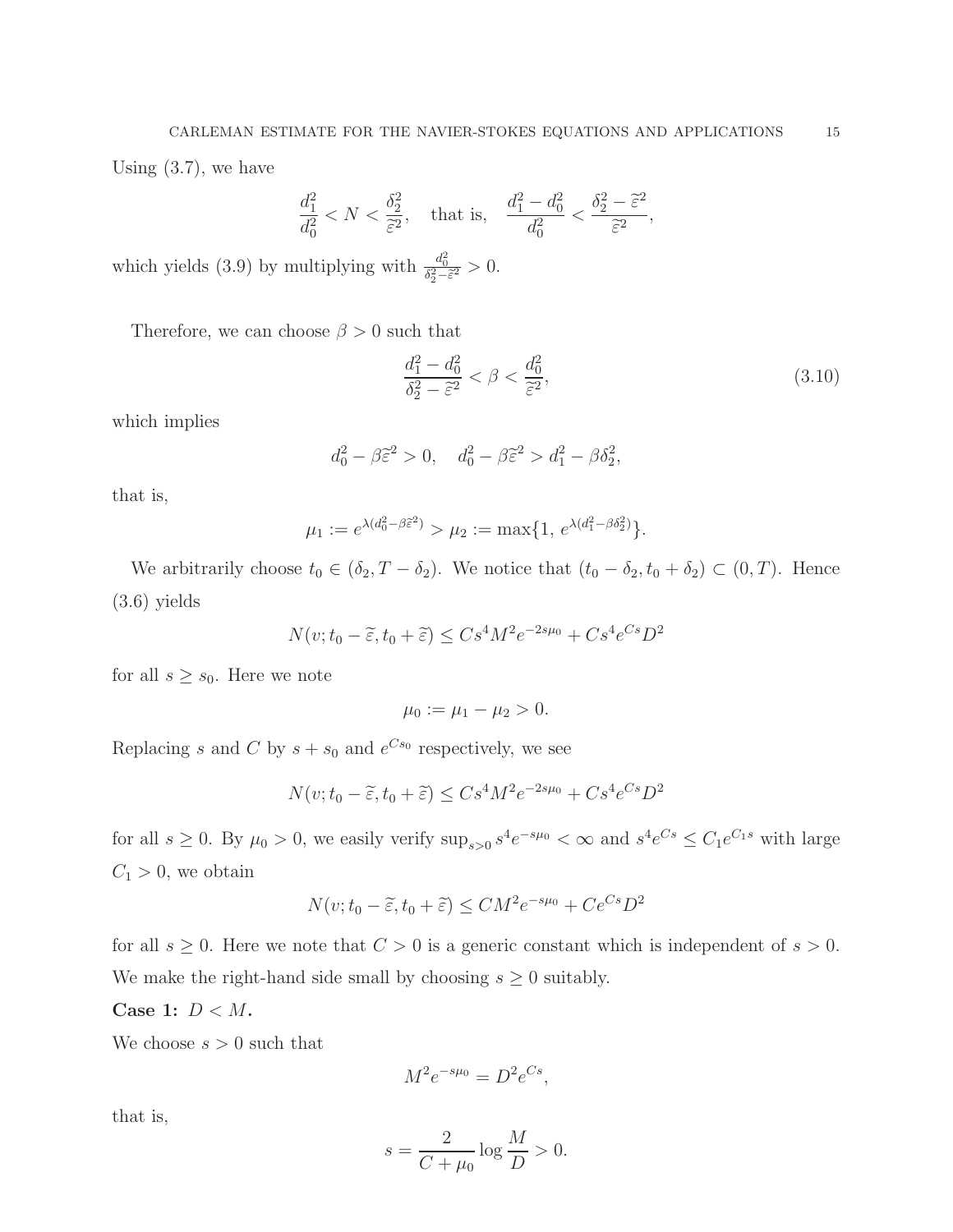Using (3.7), we have

$$
\frac{d_1^2}{d_0^2} < N < \frac{\delta_2^2}{\tilde{\varepsilon}^2}, \quad \text{that is,} \quad \frac{d_1^2 - d_0^2}{d_0^2} < \frac{\delta_2^2 - \tilde{\varepsilon}^2}{\tilde{\varepsilon}^2}
$$

which yields (3.9) by multiplying with  $\frac{d_0^2}{\delta_2^2 - \tilde{\epsilon}^2} > 0$ .

Therefore, we can choose  $\beta > 0$  such that

$$
\frac{d_1^2 - d_0^2}{\delta_2^2 - \tilde{\varepsilon}^2} < \beta < \frac{d_0^2}{\tilde{\varepsilon}^2},\tag{3.10}
$$

,

which implies

$$
d_0^2 - \beta \tilde{\varepsilon}^2 > 0
$$
,  $d_0^2 - \beta \tilde{\varepsilon}^2 > d_1^2 - \beta \delta_2^2$ ,

that is,

$$
\mu_1 := e^{\lambda(d_0^2 - \beta \tilde{\varepsilon}^2)} > \mu_2 := \max\{1, e^{\lambda(d_1^2 - \beta \delta_2^2)}\}.
$$

We arbitrarily choose  $t_0 \in (\delta_2, T - \delta_2)$ . We notice that  $(t_0 - \delta_2, t_0 + \delta_2) \subset (0, T)$ . Hence (3.6) yields

$$
N(v; t_0 - \widetilde{\varepsilon}, t_0 + \widetilde{\varepsilon}) \leq C s^4 M^2 e^{-2s\mu_0} + C s^4 e^{Cs} D^2
$$

for all  $s \geq s_0$ . Here we note

$$
\mu_0 := \mu_1 - \mu_2 > 0.
$$

Replacing s and C by  $s + s_0$  and  $e^{Cs_0}$  respectively, we see

$$
N(v; t_0 - \tilde{\varepsilon}, t_0 + \tilde{\varepsilon}) \le Cs^4 M^2 e^{-2s\mu_0} + Cs^4 e^{Cs} D^2
$$

for all  $s \geq 0$ . By  $\mu_0 > 0$ , we easily verify  $\sup_{s>0} s^4 e^{-s\mu_0} < \infty$  and  $s^4 e^{Cs} \leq C_1 e^{C_1 s}$  with large  $C_1 > 0$ , we obtain

$$
N(v; t_0 - \tilde{\varepsilon}, t_0 + \tilde{\varepsilon}) \leq CM^2 e^{-s\mu_0} + Ce^{Cs} D^2
$$

for all  $s \geq 0$ . Here we note that  $C > 0$  is a generic constant which is independent of  $s > 0$ . We make the right-hand side small by choosing  $s \geq 0$  suitably.

Case 1:  $D < M$ .

We choose  $s > 0$  such that

$$
M^2 e^{-s\mu_0} = D^2 e^{Cs},
$$

that is,

$$
s = \frac{2}{C + \mu_0} \log \frac{M}{D} > 0.
$$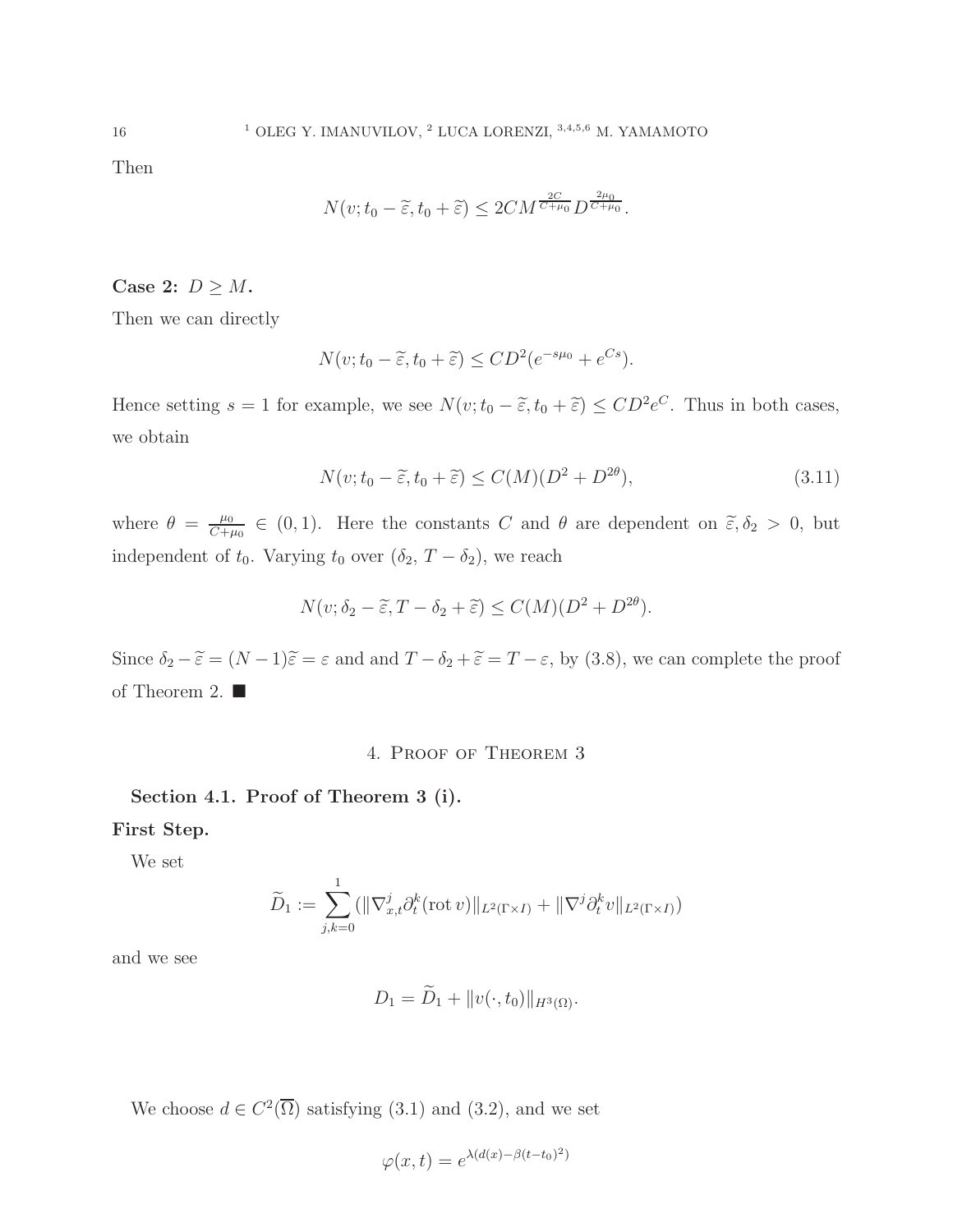Then

$$
N(v; t_0 - \widetilde{\varepsilon}, t_0 + \widetilde{\varepsilon}) \le 2CM^{\frac{2C}{C+\mu_0}} D^{\frac{2\mu_0}{C+\mu_0}}.
$$

Case 2:  $D \geq M$ .

Then we can directly

$$
N(v; t_0 - \widetilde{\varepsilon}, t_0 + \widetilde{\varepsilon}) \le CD^2(e^{-s\mu_0} + e^{Cs}).
$$

Hence setting  $s = 1$  for example, we see  $N(v; t_0 - \tilde{\varepsilon}, t_0 + \tilde{\varepsilon}) \le CD^2 e^C$ . Thus in both cases, we obtain

$$
N(v; t_0 - \tilde{\varepsilon}, t_0 + \tilde{\varepsilon}) \le C(M)(D^2 + D^{2\theta}), \tag{3.11}
$$

where  $\theta = \frac{\mu_0}{C+1}$  $\frac{\mu_0}{C+\mu_0} \in (0,1)$ . Here the constants C and  $\theta$  are dependent on  $\tilde{\varepsilon}, \delta_2 > 0$ , but independent of  $t_0$ . Varying  $t_0$  over  $(\delta_2, T - \delta_2)$ , we reach

$$
N(v; \delta_2 - \widetilde{\varepsilon}, T - \delta_2 + \widetilde{\varepsilon}) \le C(M)(D^2 + D^{2\theta}).
$$

Since  $\delta_2 - \tilde{\varepsilon} = (N - 1)\tilde{\varepsilon} = \varepsilon$  and and  $T - \delta_2 + \tilde{\varepsilon} = T - \varepsilon$ , by (3.8), we can complete the proof of Theorem 2.  $\blacksquare$ 

## 4. Proof of Theorem 3

Section 4.1. Proof of Theorem 3 (i).

First Step.

We set

$$
\widetilde{D}_1 := \sum_{j,k=0}^1 (||\nabla_{x,t}^j \partial_t^k(\text{rot } v)||_{L^2(\Gamma \times I)} + ||\nabla^j \partial_t^k v||_{L^2(\Gamma \times I)})
$$

and we see

$$
D_1 = D_1 + ||v(\cdot, t_0)||_{H^3(\Omega)}.
$$

We choose  $d \in C^2(\overline{\Omega})$  satisfying (3.1) and (3.2), and we set

$$
\varphi(x,t) = e^{\lambda(d(x) - \beta(t - t_0)^2)}
$$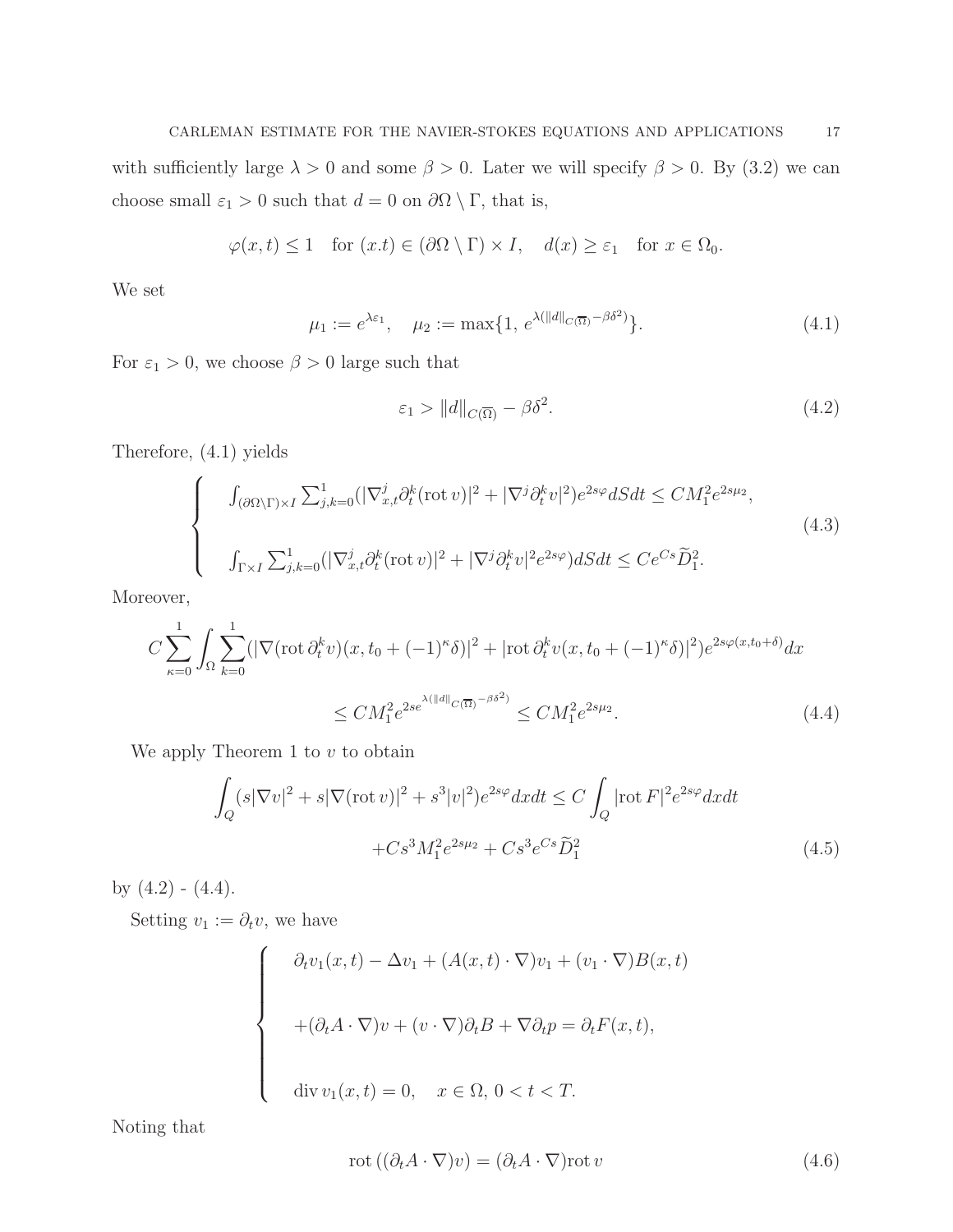with sufficiently large  $\lambda > 0$  and some  $\beta > 0$ . Later we will specify  $\beta > 0$ . By (3.2) we can choose small  $\varepsilon_1>0$  such that  $d=0$  on  $\partial\Omega\setminus\Gamma,$  that is,

$$
\varphi(x,t) \le 1 \quad \text{for } (x,t) \in (\partial \Omega \setminus \Gamma) \times I, \quad d(x) \ge \varepsilon_1 \quad \text{for } x \in \Omega_0.
$$

We set

$$
\mu_1 := e^{\lambda \varepsilon_1}, \quad \mu_2 := \max\{1, e^{\lambda (\|d\|_{C(\overline{\Omega})} - \beta \delta^2)}\}.
$$
\n(4.1)

For  $\varepsilon_1 > 0$ , we choose  $\beta > 0$  large such that

$$
\varepsilon_1 > \|d\|_{C(\overline{\Omega})} - \beta \delta^2. \tag{4.2}
$$

Therefore, (4.1) yields

$$
\begin{cases}\n\int_{(\partial\Omega\backslash\Gamma)\times I} \sum_{j,k=0}^{1} (|\nabla_{x,t}^{j}\partial_{t}^{k}(\operatorname{rot}v)|^{2} + |\nabla^{j}\partial_{t}^{k}v|^{2})e^{2s\varphi}dSdt \le CM_{1}^{2}e^{2s\mu_{2}},\\ \n\int_{\Gamma\times I} \sum_{j,k=0}^{1} (|\nabla_{x,t}^{j}\partial_{t}^{k}(\operatorname{rot}v)|^{2} + |\nabla^{j}\partial_{t}^{k}v|^{2}e^{2s\varphi})dSdt \le Ce^{Cs}\widetilde{D}_{1}^{2}.\n\end{cases}
$$
\n(4.3)

Moreover,

$$
C \sum_{\kappa=0}^{1} \int_{\Omega} \sum_{k=0}^{1} (|\nabla(\text{rot}\,\partial_t^k v)(x, t_0 + (-1)^{\kappa}\delta)|^2 + |\text{rot}\,\partial_t^k v(x, t_0 + (-1)^{\kappa}\delta)|^2) e^{2s\varphi(x, t_0 + \delta)} dx
$$
  

$$
\leq CM_1^2 e^{2se^{\lambda(||d||_{C(\overline{\Omega})} - \beta\delta^2)}} \leq CM_1^2 e^{2s\mu_2}.
$$
 (4.4)

We apply Theorem 1 to  $v$  to obtain

$$
\int_{Q} (s|\nabla v|^{2} + s|\nabla(\text{rot } v)|^{2} + s^{3}|v|^{2})e^{2s\varphi}dxdt \le C \int_{Q} |\text{rot } F|^{2}e^{2s\varphi}dxdt
$$

$$
+ Cs^{3}M_{1}^{2}e^{2s\mu_{2}} + Cs^{3}e^{Cs}\widetilde{D}_{1}^{2}
$$
(4.5)

by  $(4.2) - (4.4)$ .

Setting  $v_1 := \partial_t v$ , we have

$$
\begin{cases}\n\partial_t v_1(x,t) - \Delta v_1 + (A(x,t) \cdot \nabla) v_1 + (v_1 \cdot \nabla) B(x,t) \\
+(\partial_t A \cdot \nabla) v + (v \cdot \nabla) \partial_t B + \nabla \partial_t p = \partial_t F(x,t), \\
\text{div } v_1(x,t) = 0, \quad x \in \Omega, \ 0 < t < T.\n\end{cases}
$$

Noting that

$$
rot ((\partial_t A \cdot \nabla)v) = (\partial_t A \cdot \nabla) rot v \tag{4.6}
$$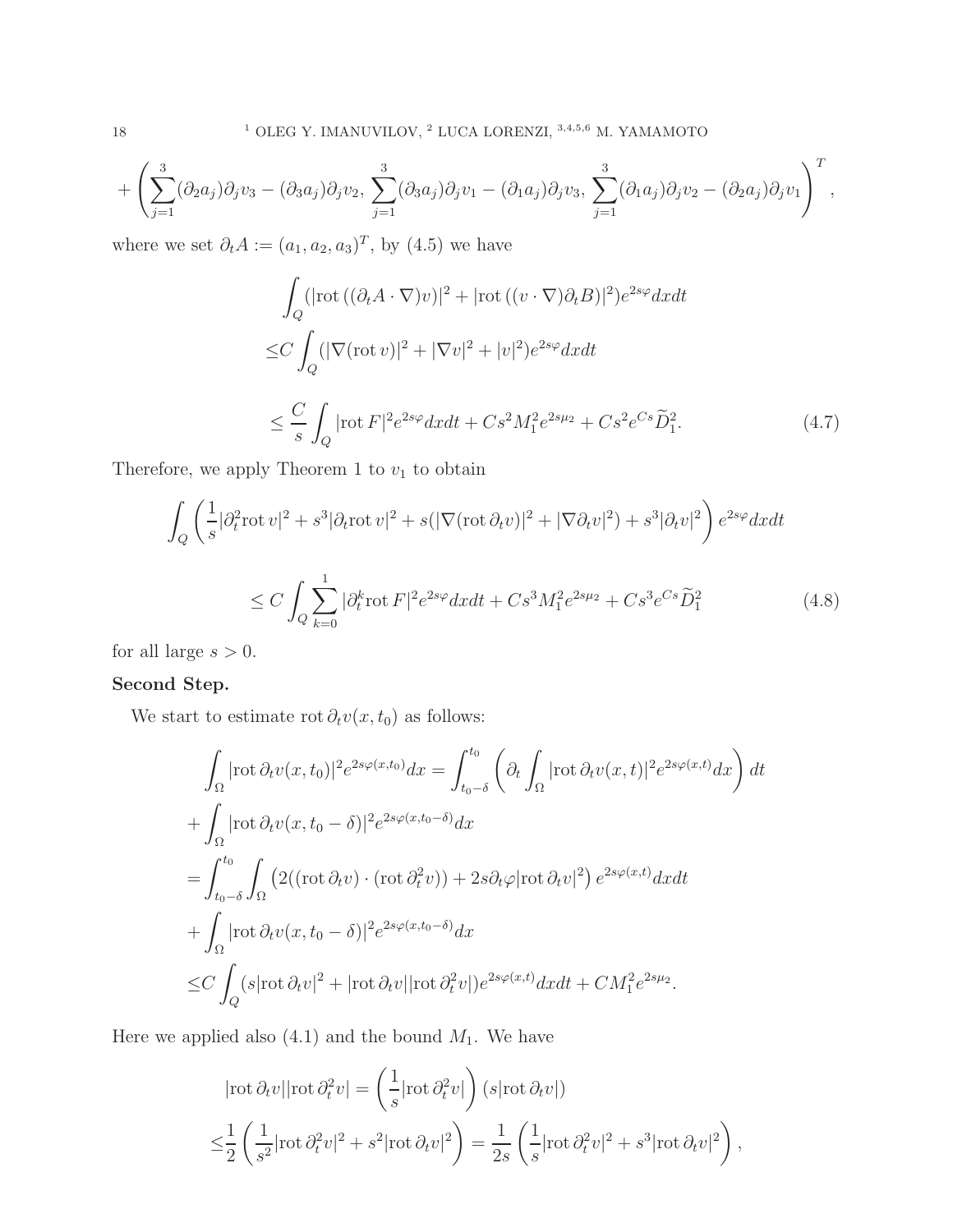$$
+\left(\sum_{j=1}^3(\partial_2a_j)\partial_jv_3-(\partial_3a_j)\partial_jv_2,\sum_{j=1}^3(\partial_3a_j)\partial_jv_1-(\partial_1a_j)\partial_jv_3,\sum_{j=1}^3(\partial_1a_j)\partial_jv_2-(\partial_2a_j)\partial_jv_1\right)^T,
$$

where we set  $\partial_t A := (a_1, a_2, a_3)^T$ , by  $(4.5)$  we have

$$
\int_{Q} (|\text{rot} ((\partial_t A \cdot \nabla)v)|^2 + |\text{rot} ((v \cdot \nabla)\partial_t B)|^2) e^{2s\varphi} dx dt
$$
  
\n
$$
\leq C \int_{Q} (|\nabla(\text{rot} v)|^2 + |\nabla v|^2 + |v|^2) e^{2s\varphi} dx dt
$$
  
\n
$$
\leq \frac{C}{s} \int_{Q} |\text{rot} F|^2 e^{2s\varphi} dx dt + Cs^2 M_1^2 e^{2s\mu_2} + Cs^2 e^{Cs} \widetilde{D}_1^2.
$$
 (4.7)

Therefore, we apply Theorem 1 to  $v_1$  to obtain

$$
\int_{Q} \left( \frac{1}{s} |\partial_t^2 \operatorname{rot} v|^2 + s^3 |\partial_t \operatorname{rot} v|^2 + s(|\nabla(\operatorname{rot} \partial_t v)|^2 + |\nabla \partial_t v|^2) + s^3 |\partial_t v|^2 \right) e^{2s\varphi} dx dt
$$
\n
$$
\leq C \int_{Q} \sum_{k=0}^1 |\partial_t^k \operatorname{rot} F|^2 e^{2s\varphi} dx dt + Cs^3 M_1^2 e^{2s\mu_2} + Cs^3 e^{Cs} \widetilde{D}_1^2 \tag{4.8}
$$

for all large  $s > 0$ .

# Second Step.

We start to estimate rot  $\partial_t v(x, t_0)$  as follows:

$$
\int_{\Omega} |\text{rot}\,\partial_t v(x,t_0)|^2 e^{2s\varphi(x,t_0)} dx = \int_{t_0-\delta}^{t_0} \left( \partial_t \int_{\Omega} |\text{rot}\,\partial_t v(x,t)|^2 e^{2s\varphi(x,t)} dx \right) dt
$$
\n
$$
+ \int_{\Omega} |\text{rot}\,\partial_t v(x,t_0-\delta)|^2 e^{2s\varphi(x,t_0-\delta)} dx
$$
\n
$$
= \int_{t_0-\delta}^{t_0} \int_{\Omega} \left( 2((\text{rot}\,\partial_t v) \cdot (\text{rot}\,\partial_t^2 v)) + 2s\partial_t \varphi |\text{rot}\,\partial_t v|^2 \right) e^{2s\varphi(x,t)} dx dt
$$
\n
$$
+ \int_{\Omega} |\text{rot}\,\partial_t v(x,t_0-\delta)|^2 e^{2s\varphi(x,t_0-\delta)} dx
$$
\n
$$
\leq C \int_{Q} (s |\text{rot}\,\partial_t v|^2 + |\text{rot}\,\partial_t v| |\text{rot}\,\partial_t^2 v|) e^{2s\varphi(x,t)} dx dt + CM_1^2 e^{2s\mu_2}.
$$

Here we applied also  $(4.1)$  and the bound  $M_1$ . We have

$$
|\text{rot}\,\partial_t v||\text{rot}\,\partial_t^2 v| = \left(\frac{1}{s}|\text{rot}\,\partial_t^2 v|\right)(s|\text{rot}\,\partial_t v|)
$$
  

$$
\leq \frac{1}{2}\left(\frac{1}{s^2}|\text{rot}\,\partial_t^2 v|^2 + s^2|\text{rot}\,\partial_t v|^2\right) = \frac{1}{2s}\left(\frac{1}{s}|\text{rot}\,\partial_t^2 v|^2 + s^3|\text{rot}\,\partial_t v|^2\right),
$$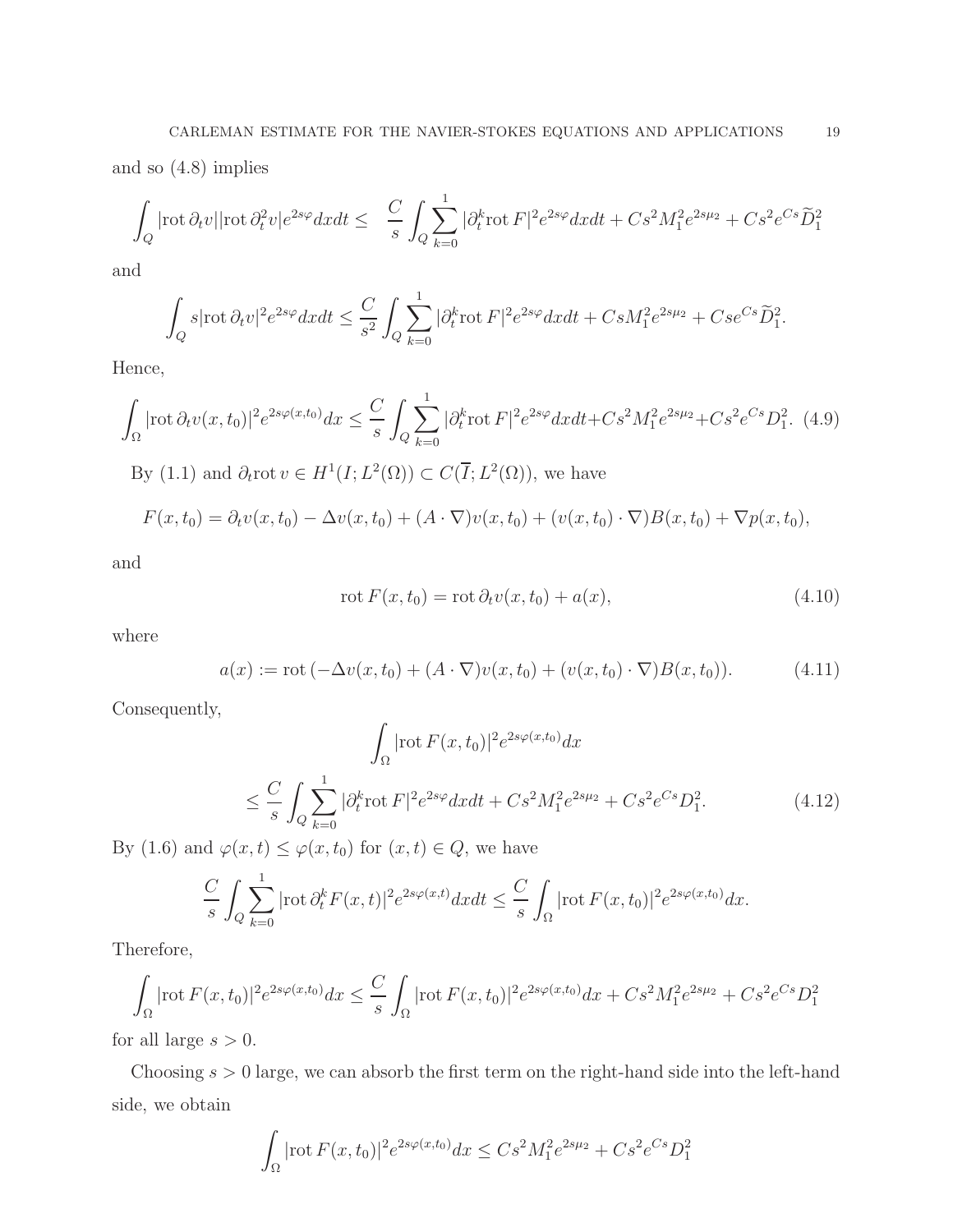and so (4.8) implies

$$
\int_{Q} |\text{rot}\,\partial_t v| |\text{rot}\,\partial_t^2 v| e^{2s\varphi} dx dt \leq \frac{C}{s} \int_{Q} \sum_{k=0}^1 |\partial_t^k \text{rot}\,F|^2 e^{2s\varphi} dx dt + Cs^2 M_1^2 e^{2s\mu_2} + Cs^2 e^{Cs} \widetilde{D}_1^2
$$

and

$$
\int_{Q} s |\text{rot}\,\partial_t v|^2 e^{2s\varphi} dx dt \leq \frac{C}{s^2} \int_{Q} \sum_{k=0}^1 |\partial_t^k \text{rot}\, F|^2 e^{2s\varphi} dx dt + Cs M_1^2 e^{2s\mu_2} + Cse^{Cs} \widetilde{D}_1^2.
$$

Hence,

$$
\int_{\Omega} |\text{rot}\,\partial_t v(x,t_0)|^2 e^{2s\varphi(x,t_0)} dx \leq \frac{C}{s} \int_{Q} \sum_{k=0}^1 |\partial_t^k \text{rot}\, F|^2 e^{2s\varphi} dx dt + Cs^2 M_1^2 e^{2s\mu_2} + Cs^2 e^{Cs} D_1^2. \tag{4.9}
$$
  
By (1.1) and  $\partial_t \text{rot}\, v \in H^1(I; L^2(\Omega)) \subset C(\overline{I}; L^2(\Omega))$ , we have

$$
F(x,t_0) = \partial_t v(x,t_0) - \Delta v(x,t_0) + (A \cdot \nabla) v(x,t_0) + (v(x,t_0) \cdot \nabla) B(x,t_0) + \nabla p(x,t_0),
$$

and

$$
\operatorname{rot} F(x, t_0) = \operatorname{rot} \partial_t v(x, t_0) + a(x), \tag{4.10}
$$

where

$$
a(x) := \text{rot} \left( -\Delta v(x, t_0) + (A \cdot \nabla) v(x, t_0) + (v(x, t_0) \cdot \nabla) B(x, t_0) \right). \tag{4.11}
$$

Consequently,

$$
\int_{\Omega} |\text{rot } F(x, t_0)|^2 e^{2s\varphi(x, t_0)} dx
$$
\n
$$
\leq \frac{C}{s} \int_{Q} \sum_{k=0}^{1} |\partial_t^k \text{rot } F|^2 e^{2s\varphi} dx dt + Cs^2 M_1^2 e^{2s\mu_2} + Cs^2 e^{Cs} D_1^2. \tag{4.12}
$$

By (1.6) and  $\varphi(x, t) \leq \varphi(x, t_0)$  for  $(x, t) \in Q$ , we have

$$
\frac{C}{s} \int_{Q} \sum_{k=0}^{1} |\text{rot } \partial_t^k F(x,t)|^2 e^{2s\varphi(x,t)} dx dt \le \frac{C}{s} \int_{\Omega} |\text{rot } F(x,t_0)|^2 e^{2s\varphi(x,t_0)} dx.
$$

Therefore,

$$
\int_{\Omega} |\text{rot } F(x, t_0)|^2 e^{2s\varphi(x, t_0)} dx \leq \frac{C}{s} \int_{\Omega} |\text{rot } F(x, t_0)|^2 e^{2s\varphi(x, t_0)} dx + Cs^2 M_1^2 e^{2s\mu_2} + Cs^2 e^{Cs} D_1^2
$$

for all large  $s > 0$ .

Choosing  $s > 0$  large, we can absorb the first term on the right-hand side into the left-hand side, we obtain

$$
\int_{\Omega} |\text{rot } F(x, t_0)|^2 e^{2s\varphi(x, t_0)} dx \leq Cs^2 M_1^2 e^{2s\mu_2} + Cs^2 e^{Cs} D_1^2
$$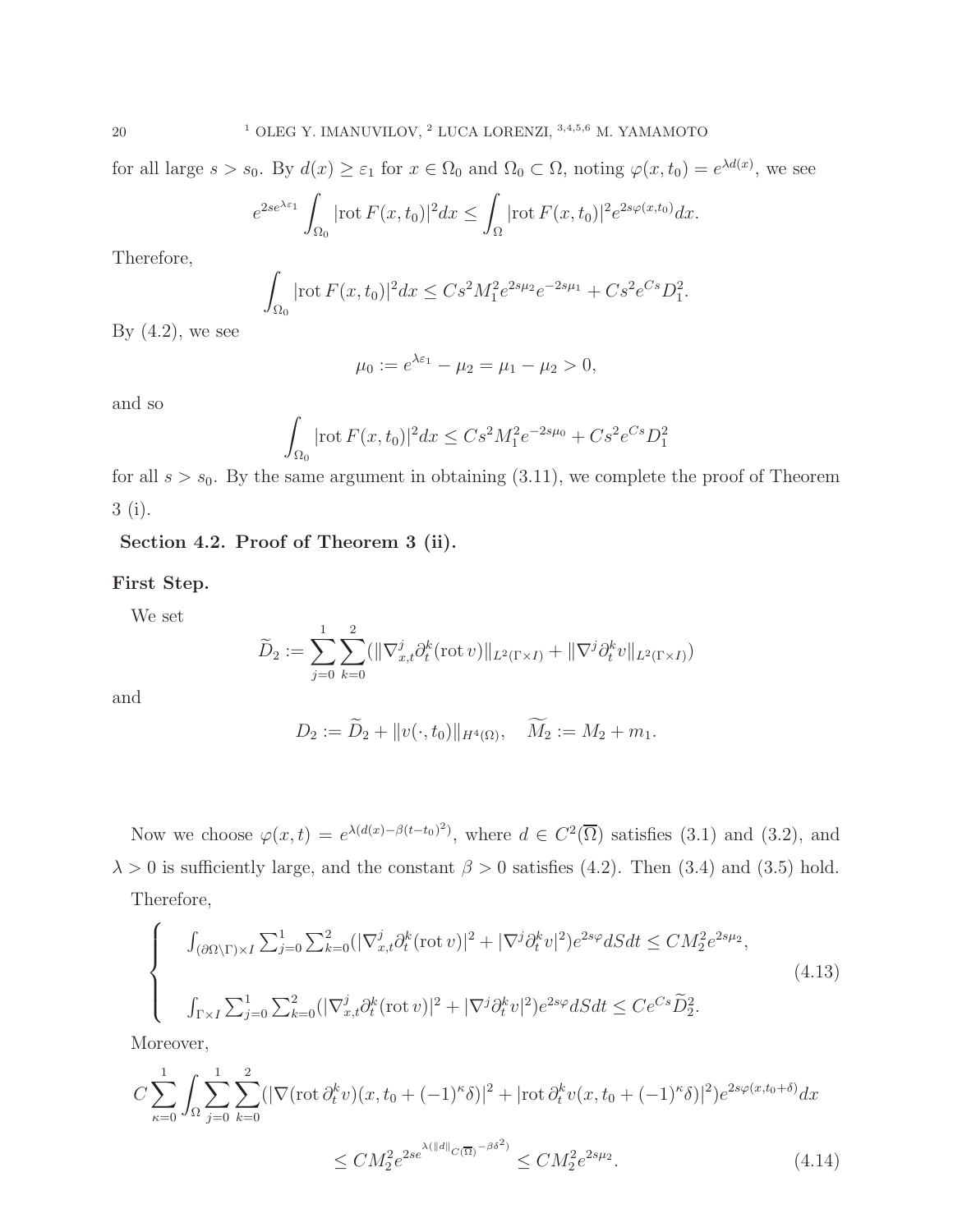for all large  $s > s_0$ . By  $d(x) \geq \varepsilon_1$  for  $x \in \Omega_0$  and  $\Omega_0 \subset \Omega$ , noting  $\varphi(x, t_0) = e^{\lambda d(x)}$ , we see

$$
e^{2se^{\lambda\varepsilon_1}}\int_{\Omega_0}|\text{rot}\,F(x,t_0)|^2dx\leq \int_{\Omega}|\text{rot}\,F(x,t_0)|^2e^{2s\varphi(x,t_0)}dx.
$$

Therefore,

$$
\int_{\Omega_0} |\text{rot}\, F(x,t_0)|^2 dx \leq C s^2 M_1^2 e^{2s\mu_2} e^{-2s\mu_1} + C s^2 e^{Cs} D_1^2.
$$

By  $(4.2)$ , we see

$$
\mu_0 := e^{\lambda \varepsilon_1} - \mu_2 = \mu_1 - \mu_2 > 0,
$$

and so

$$
\int_{\Omega_0} |\text{rot}\, F(x,t_0)|^2 dx \leq Cs^2 M_1^2 e^{-2s\mu_0} + Cs^2 e^{Cs} D_1^2
$$

for all  $s > s_0$ . By the same argument in obtaining (3.11), we complete the proof of Theorem 3 (i).

## Section 4.2. Proof of Theorem 3 (ii).

#### First Step.

We set

$$
\widetilde{D}_2 := \sum_{j=0}^1 \sum_{k=0}^2 (||\nabla_{x,t}^j \partial_t^k(\text{rot } v)||_{L^2(\Gamma \times I)} + ||\nabla^j \partial_t^k v||_{L^2(\Gamma \times I)})
$$

and

$$
D_2 := \widetilde{D}_2 + ||v(\cdot, t_0)||_{H^4(\Omega)}, \quad \widetilde{M}_2 := M_2 + m_1.
$$

Now we choose  $\varphi(x,t) = e^{\lambda(d(x)-\beta(t-t_0)^2)}$ , where  $d \in C^2(\overline{\Omega})$  satisfies (3.1) and (3.2), and  $\lambda > 0$  is sufficiently large, and the constant  $\beta > 0$  satisfies (4.2). Then (3.4) and (3.5) hold.

Therefore,

$$
\begin{cases}\n\int_{(\partial\Omega\backslash\Gamma)\times I} \sum_{j=0}^{1} \sum_{k=0}^{2} (|\nabla_{x,t}^{j}\partial_{t}^{k}(\operatorname{rot}v)|^{2} + |\nabla^{j}\partial_{t}^{k}v|^{2})e^{2s\varphi}dSdt \le CM_{2}^{2}e^{2s\mu_{2}},\\ \n\int_{\Gamma\times I} \sum_{j=0}^{1} \sum_{k=0}^{2} (|\nabla_{x,t}^{j}\partial_{t}^{k}(\operatorname{rot}v)|^{2} + |\nabla^{j}\partial_{t}^{k}v|^{2})e^{2s\varphi}dSdt \le Ce^{Cs}\widetilde{D}_{2}^{2}.\n\end{cases}
$$
\n(4.13)

Moreover,

$$
C \sum_{\kappa=0}^{1} \int_{\Omega} \sum_{j=0}^{1} \sum_{k=0}^{2} (|\nabla(\text{rot}\,\partial_t^k v)(x, t_0 + (-1)^{\kappa}\delta)|^2 + |\text{rot}\,\partial_t^k v(x, t_0 + (-1)^{\kappa}\delta)|^2) e^{2s\varphi(x, t_0 + \delta)} dx
$$
  

$$
\leq CM_2^2 e^{2se^{\lambda(||d||_{C(\overline{\Omega})} - \beta\delta^2)}} \leq CM_2^2 e^{2s\mu_2}.
$$
 (4.14)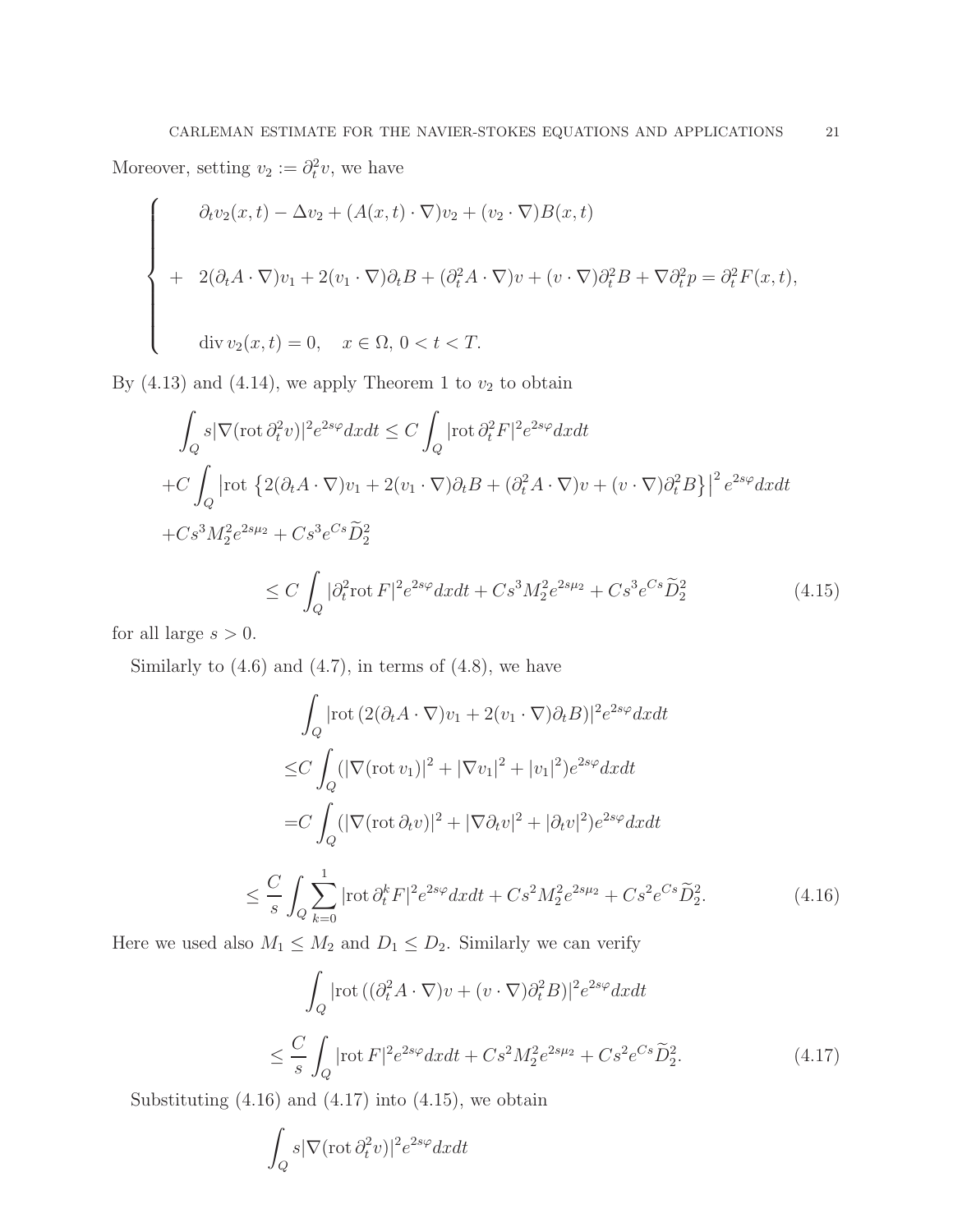Moreover, setting  $v_2 := \partial_t^2 v$ , we have

$$
\begin{cases}\n\partial_t v_2(x,t) - \Delta v_2 + (A(x,t) \cdot \nabla) v_2 + (v_2 \cdot \nabla) B(x,t) \\
+ 2(\partial_t A \cdot \nabla) v_1 + 2(v_1 \cdot \nabla) \partial_t B + (\partial_t^2 A \cdot \nabla) v + (v \cdot \nabla) \partial_t^2 B + \nabla \partial_t^2 p = \partial_t^2 F(x,t), \\
\text{div } v_2(x,t) = 0, \quad x \in \Omega, \ 0 < t < T.\n\end{cases}
$$

By  $(4.13)$  and  $(4.14)$ , we apply Theorem 1 to  $v_2$  to obtain

$$
\int_{Q} s |\nabla(\text{rot}\,\partial_{t}^{2}v)|^{2} e^{2s\varphi} dxdt \leq C \int_{Q} |\text{rot}\,\partial_{t}^{2}F|^{2} e^{2s\varphi} dxdt
$$
\n
$$
+ C \int_{Q} |\text{rot}\,\{2(\partial_{t}A\cdot\nabla)v_{1} + 2(v_{1}\cdot\nabla)\partial_{t}B + (\partial_{t}^{2}A\cdot\nabla)v + (v\cdot\nabla)\partial_{t}^{2}B\}|^{2} e^{2s\varphi} dxdt
$$
\n
$$
+ Cs^{3}M_{2}^{2} e^{2s\mu_{2}} + Cs^{3}e^{Cs}\widetilde{D}_{2}^{2}
$$
\n
$$
\leq C \int_{Q} |\partial_{t}^{2} \text{rot}\,F|^{2} e^{2s\varphi} dxdt + Cs^{3}M_{2}^{2} e^{2s\mu_{2}} + Cs^{3}e^{Cs}\widetilde{D}_{2}^{2}
$$
\n(4.15)

for all large  $s > 0$ .

Similarly to  $(4.6)$  and  $(4.7)$ , in terms of  $(4.8)$ , we have

$$
\int_{Q} |\text{rot} (2(\partial_t A \cdot \nabla)v_1 + 2(v_1 \cdot \nabla)\partial_t B)|^2 e^{2s\varphi} dxdt
$$
  
\n
$$
\leq C \int_{Q} (|\nabla(\text{rot } v_1)|^2 + |\nabla v_1|^2 + |v_1|^2) e^{2s\varphi} dxdt
$$
  
\n
$$
= C \int_{Q} (|\nabla(\text{rot } \partial_t v)|^2 + |\nabla \partial_t v|^2 + |\partial_t v|^2) e^{2s\varphi} dxdt
$$
  
\n
$$
\leq \frac{C}{s} \int_{Q} \sum_{k=0}^{1} |\text{rot } \partial_t^k F|^2 e^{2s\varphi} dxdt + Cs^2 M_2^2 e^{2s\mu_2} + Cs^2 e^{Cs} \widetilde{D}_2^2.
$$
 (4.16)

Here we used also  $M_1 \leq M_2$  and  $D_1 \leq D_2$ . Similarly we can verify

$$
\int_{Q} |\text{rot} \left( (\partial_t^2 A \cdot \nabla) v + (v \cdot \nabla) \partial_t^2 B \right)|^2 e^{2s\varphi} dx dt
$$
\n
$$
\leq \frac{C}{s} \int_{Q} |\text{rot } F|^2 e^{2s\varphi} dx dt + Cs^2 M_2^2 e^{2s\mu_2} + Cs^2 e^{Cs} \widetilde{D}_2^2. \tag{4.17}
$$

Substituting  $(4.16)$  and  $(4.17)$  into  $(4.15)$ , we obtain

$$
\int_{Q}s|\nabla(\operatorname{rot}\partial_{t}^{2}v)|^{2}e^{2s\varphi}dxdt
$$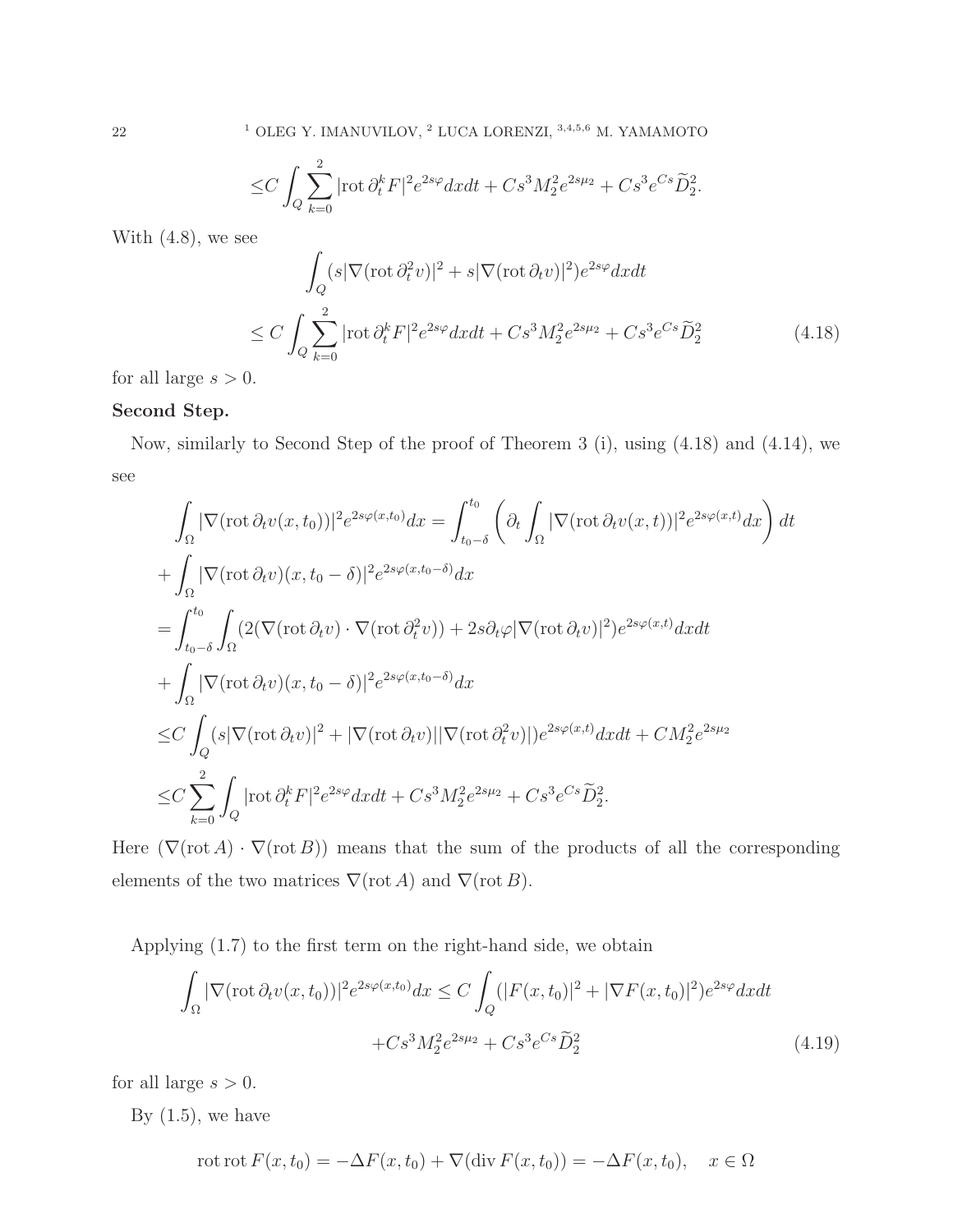$$
\leq C\int_{Q}\sum_{k=0}^{2}|\text{rot}\,\partial_{t}^{k}F|^{2}e^{2s\varphi}dxdt + Cs^{3}M_{2}^{2}e^{2s\mu_{2}} + Cs^{3}e^{Cs}\widetilde{D}_{2}^{2}.
$$

With (4.8), we see

$$
\int_{Q} (s|\nabla(\operatorname{rot}\partial_{t}^{2}v)|^{2} + s|\nabla(\operatorname{rot}\partial_{t}v)|^{2})e^{2s\varphi}dxdt
$$
\n
$$
\leq C \int_{Q} \sum_{k=0}^{2} |\operatorname{rot}\partial_{t}^{k}F|^{2}e^{2s\varphi}dxdt + Cs^{3}M_{2}^{2}e^{2s\mu_{2}} + Cs^{3}e^{Cs}\widetilde{D}_{2}^{2}
$$
\n(4.18)

for all large  $s > 0$ .

## Second Step.

Now, similarly to Second Step of the proof of Theorem 3 (i), using (4.18) and (4.14), we see

$$
\int_{\Omega} |\nabla(\text{rot}\,\partial_t v(x,t_0))|^2 e^{2s\varphi(x,t_0)} dx = \int_{t_0-\delta}^{t_0} \left( \partial_t \int_{\Omega} |\nabla(\text{rot}\,\partial_t v(x,t))|^2 e^{2s\varphi(x,t)} dx \right) dt
$$
  
+ 
$$
\int_{\Omega} |\nabla(\text{rot}\,\partial_t v)(x,t_0-\delta)|^2 e^{2s\varphi(x,t_0-\delta)} dx
$$
  
= 
$$
\int_{t_0-\delta}^{t_0} \int_{\Omega} (2(\nabla(\text{rot}\,\partial_t v) \cdot \nabla(\text{rot}\,\partial_t^2 v)) + 2s\partial_t \varphi |\nabla(\text{rot}\,\partial_t v)|^2) e^{2s\varphi(x,t)} dx dt
$$
  
+ 
$$
\int_{\Omega} |\nabla(\text{rot}\,\partial_t v)(x,t_0-\delta)|^2 e^{2s\varphi(x,t_0-\delta)} dx
$$
  

$$
\leq C \int_{Q} (s|\nabla(\text{rot}\,\partial_t v)|^2 + |\nabla(\text{rot}\,\partial_t v)||\nabla(\text{rot}\,\partial_t^2 v)|) e^{2s\varphi(x,t)} dx dt + CM_2^2 e^{2s\mu_2}
$$
  

$$
\leq C \sum_{k=0}^2 \int_{Q} |\text{rot}\,\partial_t^k F|^2 e^{2s\varphi} dx dt + Cs^3 M_2^2 e^{2s\mu_2} + Cs^3 e^{Cs} \tilde{D}_2^2.
$$

Here  $(\nabla(\text{rot }A) \cdot \nabla(\text{rot }B))$  means that the sum of the products of all the corresponding elements of the two matrices  $\nabla(\text{rot }A)$  and  $\nabla(\text{rot }B)$ .

Applying (1.7) to the first term on the right-hand side, we obtain

$$
\int_{\Omega} |\nabla(\text{rot}\,\partial_t v(x,t_0))|^2 e^{2s\varphi(x,t_0)} dx \le C \int_{Q} (|F(x,t_0)|^2 + |\nabla F(x,t_0)|^2) e^{2s\varphi} dx dt \n+ C s^3 M_2^2 e^{2s\mu_2} + C s^3 e^{Cs} \tilde{D}_2^2
$$
\n(4.19)

for all large  $s > 0$ .

By  $(1.5)$ , we have

$$
\operatorname{rot} \operatorname{rot} F(x, t_0) = -\Delta F(x, t_0) + \nabla (\operatorname{div} F(x, t_0)) = -\Delta F(x, t_0), \quad x \in \Omega
$$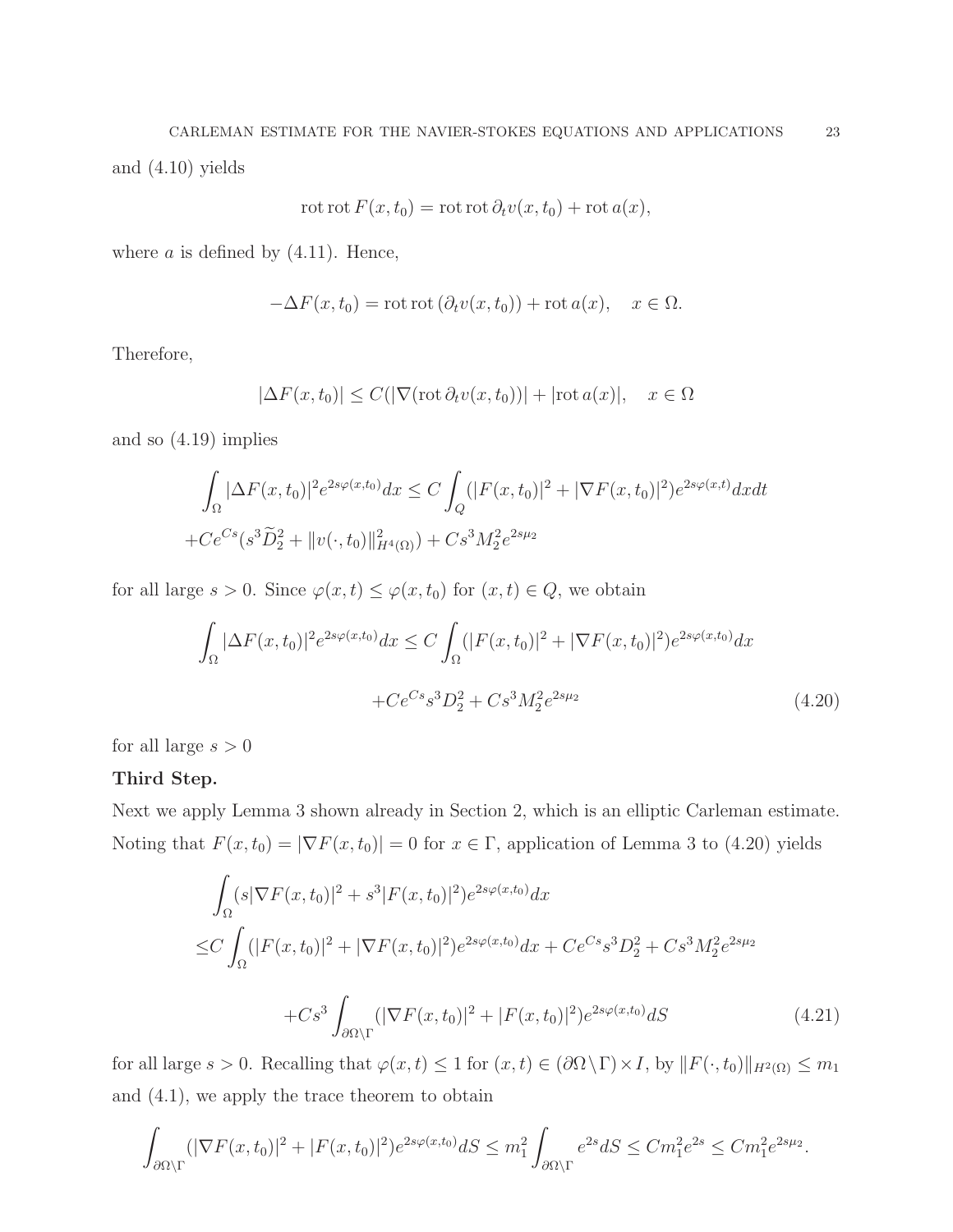$$
rot rot F(x, t_0) = rot rot \partial_t v(x, t_0) + rot a(x),
$$

where  $a$  is defined by  $(4.11)$ . Hence,

$$
-\Delta F(x,t_0) = \text{rot rot}(\partial_t v(x,t_0)) + \text{rot } a(x), \quad x \in \Omega.
$$

Therefore,

$$
|\Delta F(x, t_0)| \le C(|\nabla(\operatorname{rot}\partial_t v(x, t_0))| + |\operatorname{rot} a(x)|, \quad x \in \Omega
$$

and so (4.19) implies

$$
\int_{\Omega} |\Delta F(x, t_0)|^2 e^{2s\varphi(x, t_0)} dx \le C \int_{Q} (|F(x, t_0)|^2 + |\nabla F(x, t_0)|^2) e^{2s\varphi(x, t)} dx dt
$$
  
+  $C e^{Cs} (s^3 \widetilde{D}_2^2 + ||v(\cdot, t_0)||_{H^4(\Omega)}^2) + Cs^3 M_2^2 e^{2s\mu_2}$ 

for all large  $s > 0$ . Since  $\varphi(x, t) \leq \varphi(x, t_0)$  for  $(x, t) \in Q$ , we obtain

$$
\int_{\Omega} |\Delta F(x, t_0)|^2 e^{2s\varphi(x, t_0)} dx \le C \int_{\Omega} (|F(x, t_0)|^2 + |\nabla F(x, t_0)|^2) e^{2s\varphi(x, t_0)} dx
$$

$$
+ C e^{Cs} s^3 D_2^2 + C s^3 M_2^2 e^{2s\mu_2}
$$
(4.20)

for all large  $s > 0$ 

## Third Step.

Next we apply Lemma 3 shown already in Section 2, which is an elliptic Carleman estimate. Noting that  $F(x, t_0) = |\nabla F(x, t_0)| = 0$  for  $x \in \Gamma$ , application of Lemma 3 to (4.20) yields

$$
\int_{\Omega} (s|\nabla F(x,t_0)|^2 + s^3 |F(x,t_0)|^2) e^{2s\varphi(x,t_0)} dx
$$
  
\n
$$
\leq C \int_{\Omega} (|F(x,t_0)|^2 + |\nabla F(x,t_0)|^2) e^{2s\varphi(x,t_0)} dx + C e^{Cs} s^3 D_2^2 + C s^3 M_2^2 e^{2s\mu_2}
$$
  
\n
$$
+ C s^3 \int_{\partial\Omega\setminus\Gamma} (|\nabla F(x,t_0)|^2 + |F(x,t_0)|^2) e^{2s\varphi(x,t_0)} dS
$$
\n(4.21)

for all large  $s > 0$ . Recalling that  $\varphi(x, t) \leq 1$  for  $(x, t) \in (\partial \Omega \setminus \Gamma) \times I$ , by  $||F(\cdot, t_0)||_{H^2(\Omega)} \leq m_1$ and (4.1), we apply the trace theorem to obtain

$$
\int_{\partial\Omega\setminus\Gamma} (|\nabla F(x,t_0)|^2 + |F(x,t_0)|^2) e^{2s\varphi(x,t_0)} dS \le m_1^2 \int_{\partial\Omega\setminus\Gamma} e^{2s} dS \le C m_1^2 e^{2s} \le C m_1^2 e^{2s\mu_2}.
$$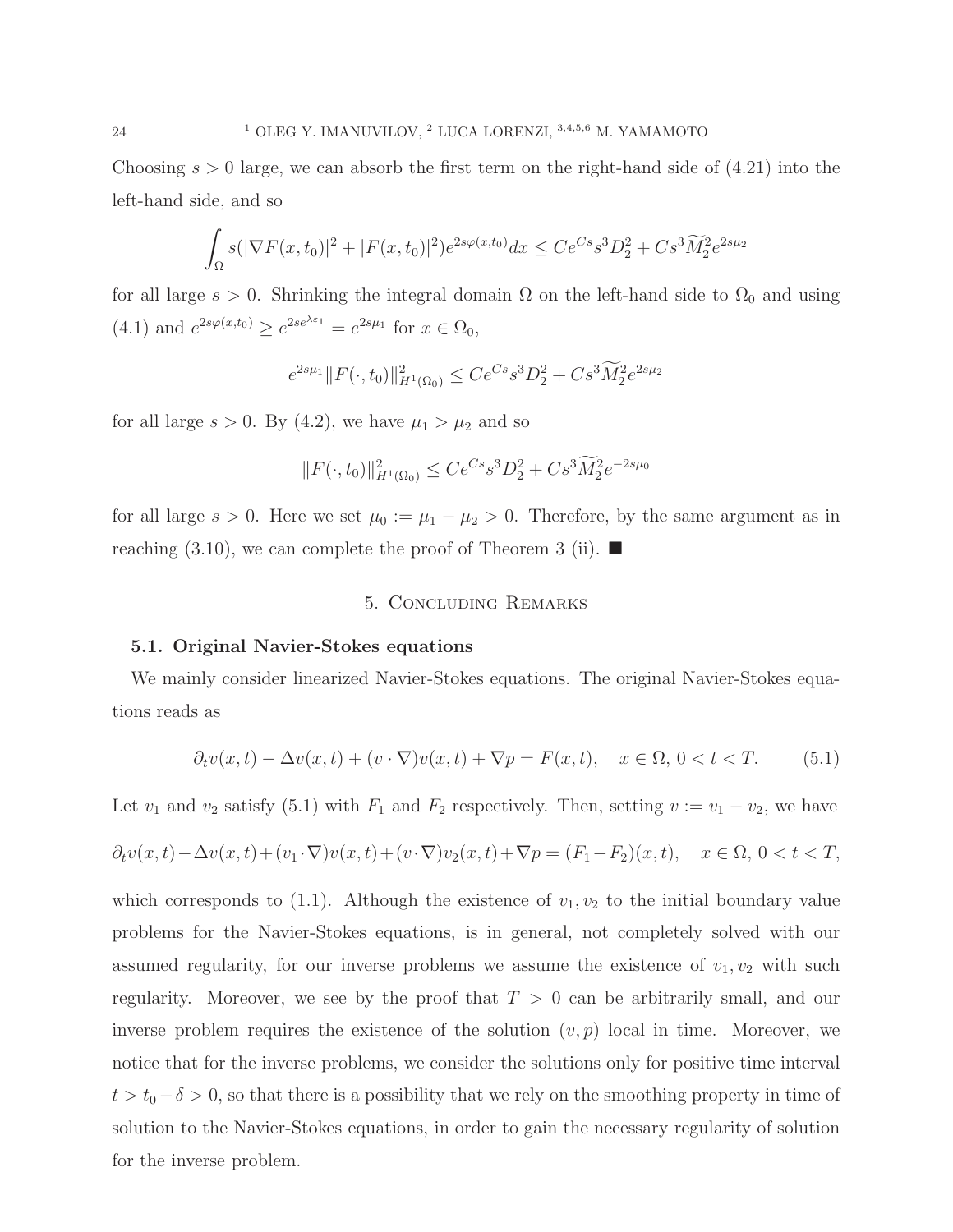Choosing  $s > 0$  large, we can absorb the first term on the right-hand side of  $(4.21)$  into the left-hand side, and so

$$
\int_{\Omega} s(|\nabla F(x, t_0)|^2 + |F(x, t_0)|^2) e^{2s\varphi(x, t_0)} dx \leq Ce^{Cs} s^3 D_2^2 + Cs^3 \widetilde{M}_2^2 e^{2s\mu_2}
$$

for all large  $s > 0$ . Shrinking the integral domain  $\Omega$  on the left-hand side to  $\Omega_0$  and using (4.1) and  $e^{2s\varphi(x,t_0)} \ge e^{2se^{\lambda \varepsilon_1}} = e^{2s\mu_1}$  for  $x \in \Omega_0$ ,

$$
e^{2s\mu_1} \|F(\cdot, t_0)\|_{H^1(\Omega_0)}^2 \le Ce^{Cs} s^3 D_2^2 + Cs^3 \widetilde{M}_2^2 e^{2s\mu_2}
$$

for all large  $s > 0$ . By (4.2), we have  $\mu_1 > \mu_2$  and so

$$
||F(\cdot,t_0)||_{H^1(\Omega_0)}^2 \le Ce^{Cs} s^3 D_2^2 + Cs^3 \widetilde{M}_2^2 e^{-2s\mu_0}
$$

for all large  $s > 0$ . Here we set  $\mu_0 := \mu_1 - \mu_2 > 0$ . Therefore, by the same argument as in reaching  $(3.10)$ , we can complete the proof of Theorem 3 (ii).

## 5. Concluding Remarks

#### 5.1. Original Navier-Stokes equations

We mainly consider linearized Navier-Stokes equations. The original Navier-Stokes equations reads as

$$
\partial_t v(x,t) - \Delta v(x,t) + (v \cdot \nabla)v(x,t) + \nabla p = F(x,t), \quad x \in \Omega, \ 0 < t < T. \tag{5.1}
$$

Let  $v_1$  and  $v_2$  satisfy (5.1) with  $F_1$  and  $F_2$  respectively. Then, setting  $v := v_1 - v_2$ , we have

$$
\partial_t v(x,t) - \Delta v(x,t) + (v_1 \cdot \nabla) v(x,t) + (v \cdot \nabla) v_2(x,t) + \nabla p = (F_1 - F_2)(x,t), \quad x \in \Omega, \ 0 < t < T,
$$

which corresponds to  $(1.1)$ . Although the existence of  $v_1, v_2$  to the initial boundary value problems for the Navier-Stokes equations, is in general, not completely solved with our assumed regularity, for our inverse problems we assume the existence of  $v_1, v_2$  with such regularity. Moreover, we see by the proof that  $T > 0$  can be arbitrarily small, and our inverse problem requires the existence of the solution  $(v, p)$  local in time. Moreover, we notice that for the inverse problems, we consider the solutions only for positive time interval  $t > t_0 - \delta > 0$ , so that there is a possibility that we rely on the smoothing property in time of solution to the Navier-Stokes equations, in order to gain the necessary regularity of solution for the inverse problem.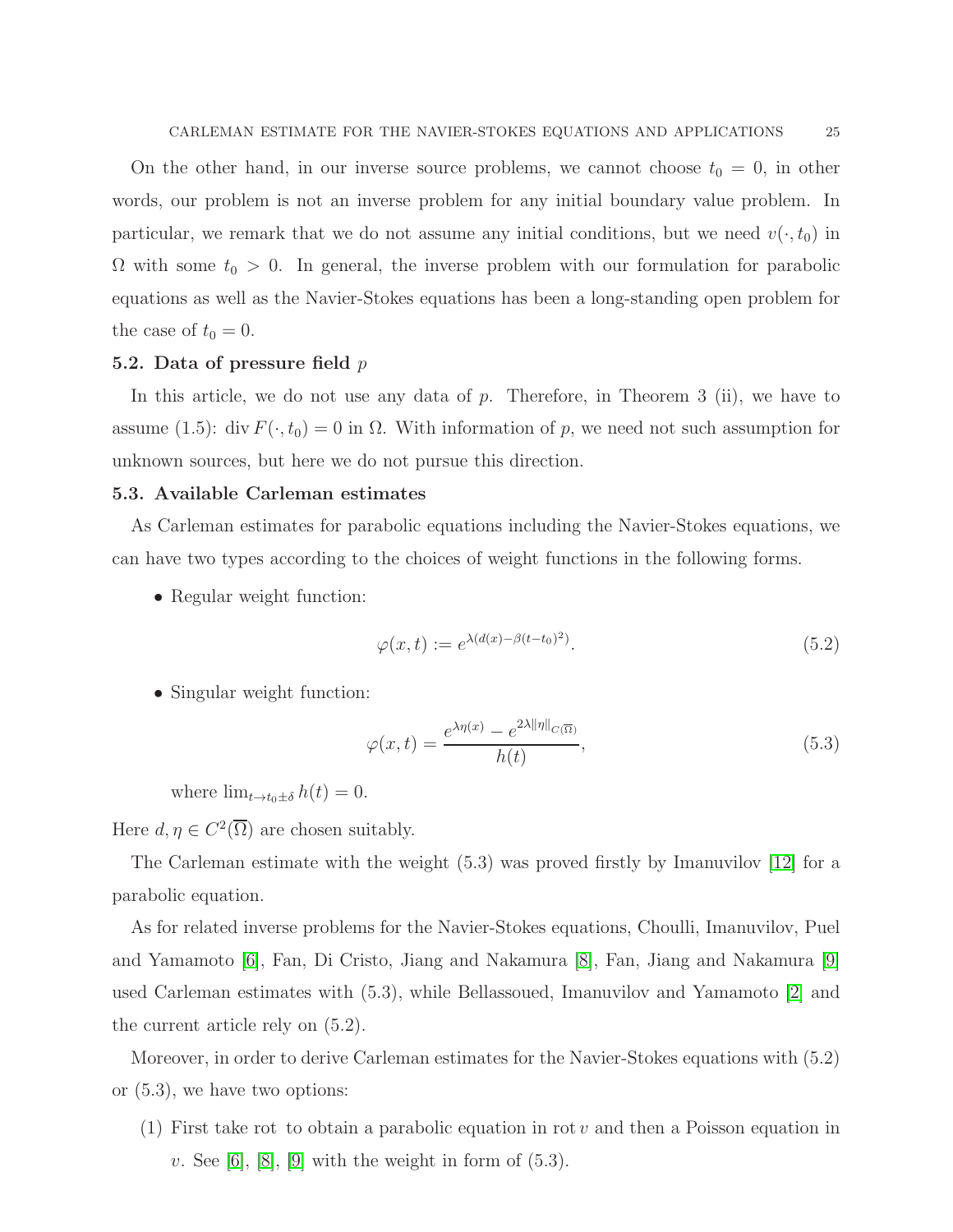On the other hand, in our inverse source problems, we cannot choose  $t_0 = 0$ , in other words, our problem is not an inverse problem for any initial boundary value problem. In particular, we remark that we do not assume any initial conditions, but we need  $v(\cdot, t_0)$  in  $\Omega$  with some  $t_0 > 0$ . In general, the inverse problem with our formulation for parabolic equations as well as the Navier-Stokes equations has been a long-standing open problem for the case of  $t_0 = 0$ .

#### 5.2. Data of pressure field  $p$

In this article, we do not use any data of p. Therefore, in Theorem 3 (ii), we have to assume (1.5): div  $F(\cdot, t_0) = 0$  in  $\Omega$ . With information of p, we need not such assumption for unknown sources, but here we do not pursue this direction.

#### 5.3. Available Carleman estimates

As Carleman estimates for parabolic equations including the Navier-Stokes equations, we can have two types according to the choices of weight functions in the following forms.

• Regular weight function:

$$
\varphi(x,t) := e^{\lambda(d(x) - \beta(t - t_0)^2)}.
$$
\n
$$
(5.2)
$$

• Singular weight function:

$$
\varphi(x,t) = \frac{e^{\lambda \eta(x)} - e^{2\lambda \|\eta\|_{C(\overline{\Omega})}}}{h(t)},
$$
\n(5.3)

where  $\lim_{t\to t_0\pm\delta} h(t) = 0$ .

Here  $d, \eta \in C^2(\overline{\Omega})$  are chosen suitably.

The Carleman estimate with the weight (5.3) was proved firstly by Imanuvilov [\[12\]](#page-29-10) for a parabolic equation.

As for related inverse problems for the Navier-Stokes equations, Choulli, Imanuvilov, Puel and Yamamoto [\[6\]](#page-29-5), Fan, Di Cristo, Jiang and Nakamura [\[8\]](#page-29-7), Fan, Jiang and Nakamura [\[9\]](#page-29-8) used Carleman estimates with (5.3), while Bellassoued, Imanuvilov and Yamamoto [\[2\]](#page-29-3) and the current article rely on (5.2).

Moreover, in order to derive Carleman estimates for the Navier-Stokes equations with (5.2) or (5.3), we have two options:

(1) First take rot to obtain a parabolic equation in rot v and then a Poisson equation in  $v.$  See [\[6\]](#page-29-5), [\[8\]](#page-29-7), [\[9\]](#page-29-8) with the weight in form of  $(5.3)$ .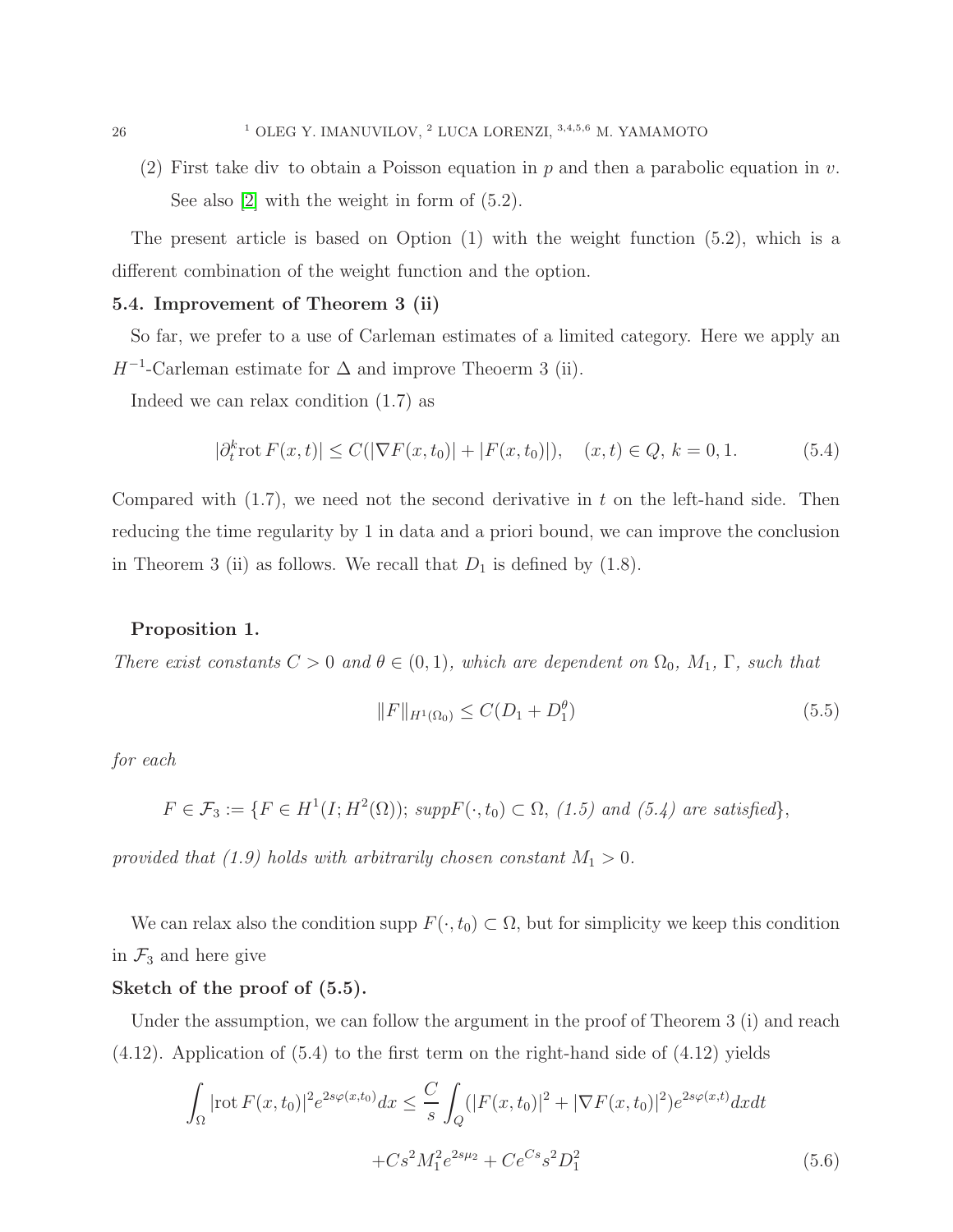(2) First take div to obtain a Poisson equation in p and then a parabolic equation in v. See also [\[2\]](#page-29-3) with the weight in form of (5.2).

The present article is based on Option (1) with the weight function (5.2), which is a different combination of the weight function and the option.

## 5.4. Improvement of Theorem 3 (ii)

So far, we prefer to a use of Carleman estimates of a limited category. Here we apply an  $H^{-1}$ -Carleman estimate for  $\Delta$  and improve Theoerm 3 (ii).

Indeed we can relax condition (1.7) as

$$
|\partial_t^k \text{rot } F(x,t)| \le C(|\nabla F(x,t_0)| + |F(x,t_0)|), \quad (x,t) \in Q, \, k = 0,1. \tag{5.4}
$$

Compared with  $(1.7)$ , we need not the second derivative in t on the left-hand side. Then reducing the time regularity by 1 in data and a priori bound, we can improve the conclusion in Theorem 3 (ii) as follows. We recall that  $D_1$  is defined by (1.8).

## Proposition 1.

There exist constants  $C > 0$  and  $\theta \in (0, 1)$ , which are dependent on  $\Omega_0$ ,  $M_1$ ,  $\Gamma$ , such that

$$
||F||_{H^{1}(\Omega_{0})} \leq C(D_{1} + D_{1}^{\theta})
$$
\n(5.5)

for each

$$
F \in \mathcal{F}_3 := \{ F \in H^1(I; H^2(\Omega)) ; \, \text{supp} F(\cdot, t_0) \subset \Omega, \ (1.5) \text{ and } (5.4) \text{ are satisfied} \},
$$

provided that (1.9) holds with arbitrarily chosen constant  $M_1 > 0$ .

We can relax also the condition supp  $F(\cdot, t_0) \subset \Omega$ , but for simplicity we keep this condition in  $\mathcal{F}_3$  and here give

## Sketch of the proof of (5.5).

Under the assumption, we can follow the argument in the proof of Theorem 3 (i) and reach (4.12). Application of (5.4) to the first term on the right-hand side of (4.12) yields

$$
\int_{\Omega} |\text{rot}\,F(x,t_0)|^2 e^{2s\varphi(x,t_0)} dx \leq \frac{C}{s} \int_{Q} (|F(x,t_0)|^2 + |\nabla F(x,t_0)|^2) e^{2s\varphi(x,t)} dx dt
$$

$$
+ Cs^2 M_1^2 e^{2s\mu_2} + Ce^{Cs} s^2 D_1^2 \tag{5.6}
$$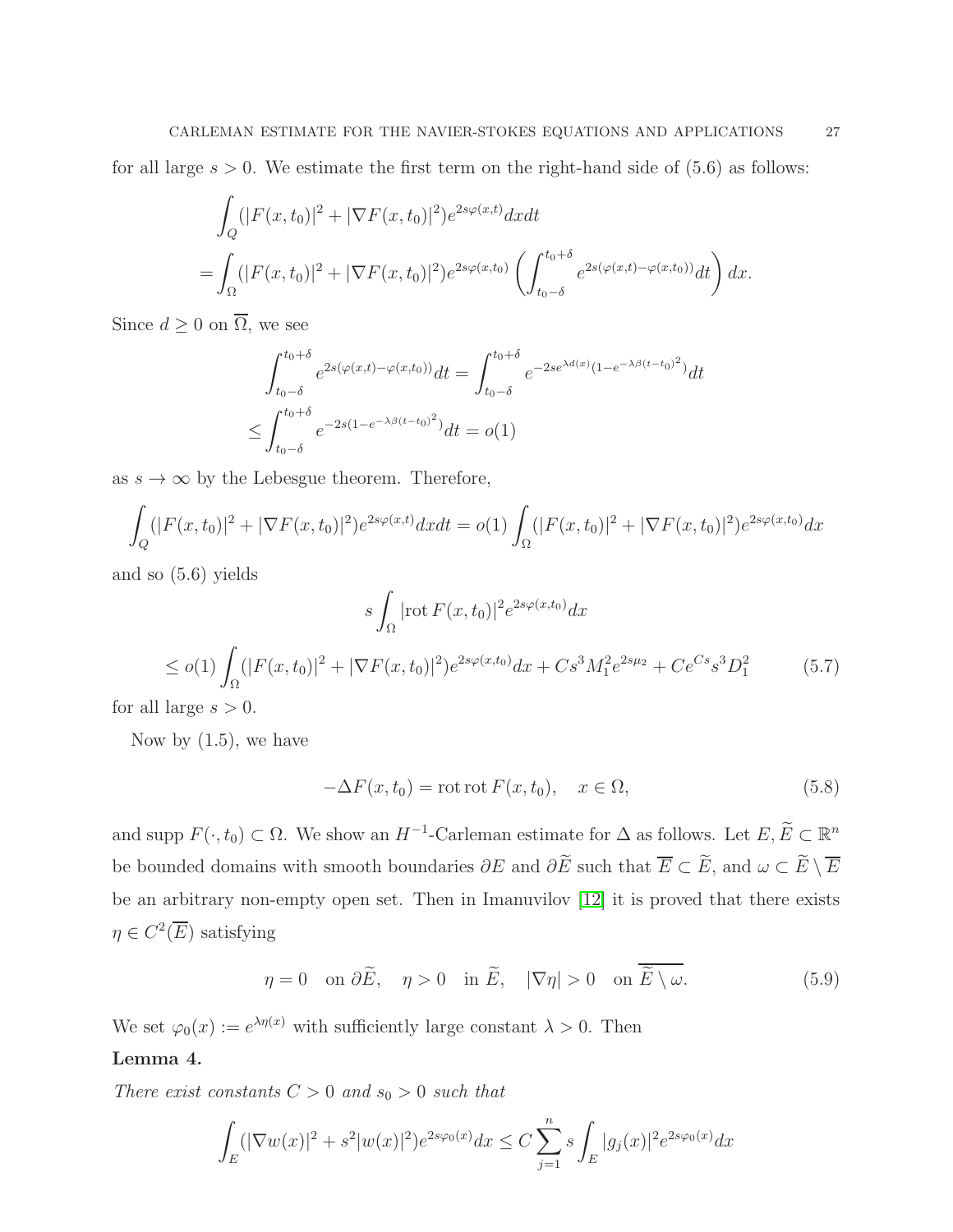for all large  $s > 0$ . We estimate the first term on the right-hand side of  $(5.6)$  as follows:

$$
\int_{Q} (|F(x,t_0)|^2 + |\nabla F(x,t_0)|^2) e^{2s\varphi(x,t)} dx dt
$$
\n
$$
= \int_{\Omega} (|F(x,t_0)|^2 + |\nabla F(x,t_0)|^2) e^{2s\varphi(x,t_0)} \left( \int_{t_0-\delta}^{t_0+\delta} e^{2s(\varphi(x,t) - \varphi(x,t_0))} dt \right) dx.
$$

Since  $d \geq 0$  on  $\overline{\Omega}$ , we see

$$
\int_{t_0-\delta}^{t_0+\delta} e^{2s(\varphi(x,t)-\varphi(x,t_0))} dt = \int_{t_0-\delta}^{t_0+\delta} e^{-2se^{\lambda d(x)}(1-e^{-\lambda \beta (t-t_0)^2})} dt
$$
  

$$
\leq \int_{t_0-\delta}^{t_0+\delta} e^{-2s(1-e^{-\lambda \beta (t-t_0)^2})} dt = o(1)
$$

as  $s\to\infty$  by the Lebesgue theorem. Therefore,

$$
\int_{Q} (|F(x,t_0)|^2 + |\nabla F(x,t_0)|^2) e^{2s\varphi(x,t)} dx dt = o(1) \int_{\Omega} (|F(x,t_0)|^2 + |\nabla F(x,t_0)|^2) e^{2s\varphi(x,t_0)} dx
$$

and so (5.6) yields

$$
s \int_{\Omega} |\text{rot } F(x, t_0)|^2 e^{2s\varphi(x, t_0)} dx
$$
  
\n
$$
\leq o(1) \int_{\Omega} (|F(x, t_0)|^2 + |\nabla F(x, t_0)|^2) e^{2s\varphi(x, t_0)} dx + Cs^3 M_1^2 e^{2s\mu_2} + Ce^{Cs} s^3 D_1^2
$$
\n(5.7)

for all large  $s > 0$ .

Now by  $(1.5)$ , we have

$$
-\Delta F(x, t_0) = \text{rot rot } F(x, t_0), \quad x \in \Omega,
$$
\n(5.8)

and supp  $F(\cdot, t_0) \subset \Omega$ . We show an  $H^{-1}$ -Carleman estimate for  $\Delta$  as follows. Let  $E, E \subset \mathbb{R}^n$ be bounded domains with smooth boundaries  $\partial E$  and  $\partial \tilde{E}$  such that  $\overline{E} \subset \tilde{E}$ , and  $\omega \subset \tilde{E} \setminus \overline{E}$ be an arbitrary non-empty open set. Then in Imanuvilov [\[12\]](#page-29-10) it is proved that there exists  $\eta \in C^2(\overline{E})$  satisfying

$$
\eta = 0 \quad \text{on } \partial \tilde{E}, \quad \eta > 0 \quad \text{in } \tilde{E}, \quad |\nabla \eta| > 0 \quad \text{on } \overline{\tilde{E} \setminus \omega}. \tag{5.9}
$$

We set  $\varphi_0(x) := e^{\lambda \eta(x)}$  with sufficiently large constant  $\lambda > 0$ . Then

## Lemma 4.

There exist constants  $C > 0$  and  $s_0 > 0$  such that

$$
\int_{E} (|\nabla w(x)|^2 + s^2 |w(x)|^2) e^{2s\varphi_0(x)} dx \le C \sum_{j=1}^n s \int_{E} |g_j(x)|^2 e^{2s\varphi_0(x)} dx
$$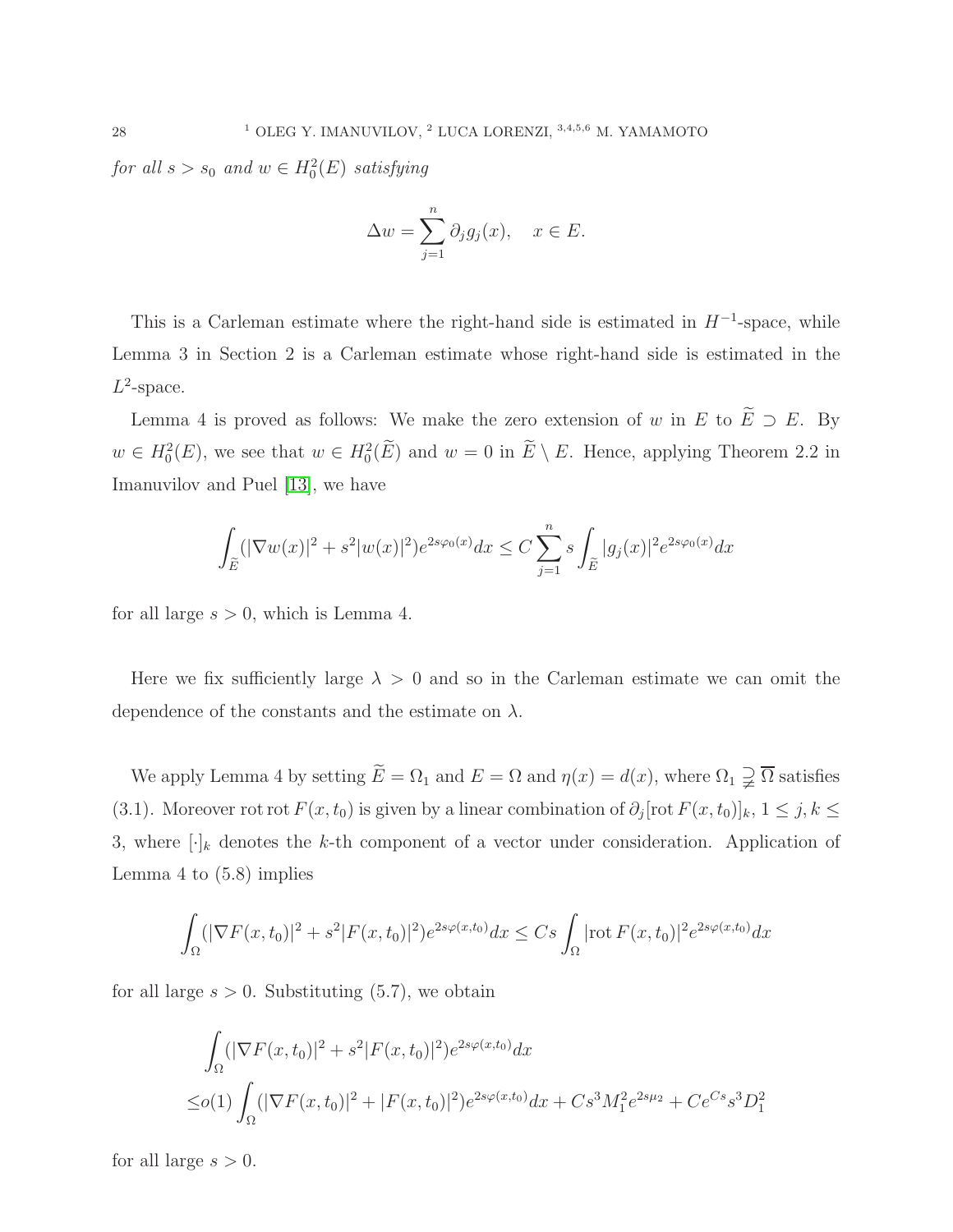for all  $s > s_0$  and  $w \in H_0^2(E)$  satisfying

$$
\Delta w = \sum_{j=1}^{n} \partial_j g_j(x), \quad x \in E.
$$

This is a Carleman estimate where the right-hand side is estimated in  $H^{-1}$ -space, while Lemma 3 in Section 2 is a Carleman estimate whose right-hand side is estimated in the  $L^2$ -space.

Lemma 4 is proved as follows: We make the zero extension of w in E to  $\widetilde{E} \supset E$ . By  $w \in H_0^2(E)$ , we see that  $w \in H_0^2(E)$  and  $w = 0$  in  $E \setminus E$ . Hence, applying Theorem 2.2 in Imanuvilov and Puel [\[13\]](#page-30-8), we have

$$
\int_{\tilde{E}} (|\nabla w(x)|^2 + s^2 |w(x)|^2) e^{2s\varphi_0(x)} dx \le C \sum_{j=1}^n s \int_{\tilde{E}} |g_j(x)|^2 e^{2s\varphi_0(x)} dx
$$

for all large  $s > 0$ , which is Lemma 4.

Here we fix sufficiently large  $\lambda > 0$  and so in the Carleman estimate we can omit the dependence of the constants and the estimate on  $\lambda$ .

We apply Lemma 4 by setting  $\widetilde{E} = \Omega_1$  and  $E = \Omega$  and  $\eta(x) = d(x)$ , where  $\Omega_1 \supsetneq \overline{\Omega}$  satisfies (3.1). Moreover rot rot  $F(x,t_0)$  is given by a linear combination of  $\partial_j[\text{rot } F(x,t_0)]_k$ ,  $1 \le j, k \le k$ 3, where  $[\cdot]_k$  denotes the k-th component of a vector under consideration. Application of Lemma 4 to (5.8) implies

$$
\int_{\Omega} (|\nabla F(x,t_0)|^2 + s^2 |F(x,t_0)|^2) e^{2s\varphi(x,t_0)} dx \leq Cs \int_{\Omega} |\text{rot } F(x,t_0)|^2 e^{2s\varphi(x,t_0)} dx
$$

for all large  $s > 0$ . Substituting  $(5.7)$ , we obtain

$$
\int_{\Omega} (|\nabla F(x, t_0)|^2 + s^2 |F(x, t_0)|^2) e^{2s\varphi(x, t_0)} dx
$$
  
\n
$$
\leq o(1) \int_{\Omega} (|\nabla F(x, t_0)|^2 + |F(x, t_0)|^2) e^{2s\varphi(x, t_0)} dx + Cs^3 M_1^2 e^{2s\mu_2} + Ce^{Cs} s^3 D_1^2
$$

for all large  $s > 0$ .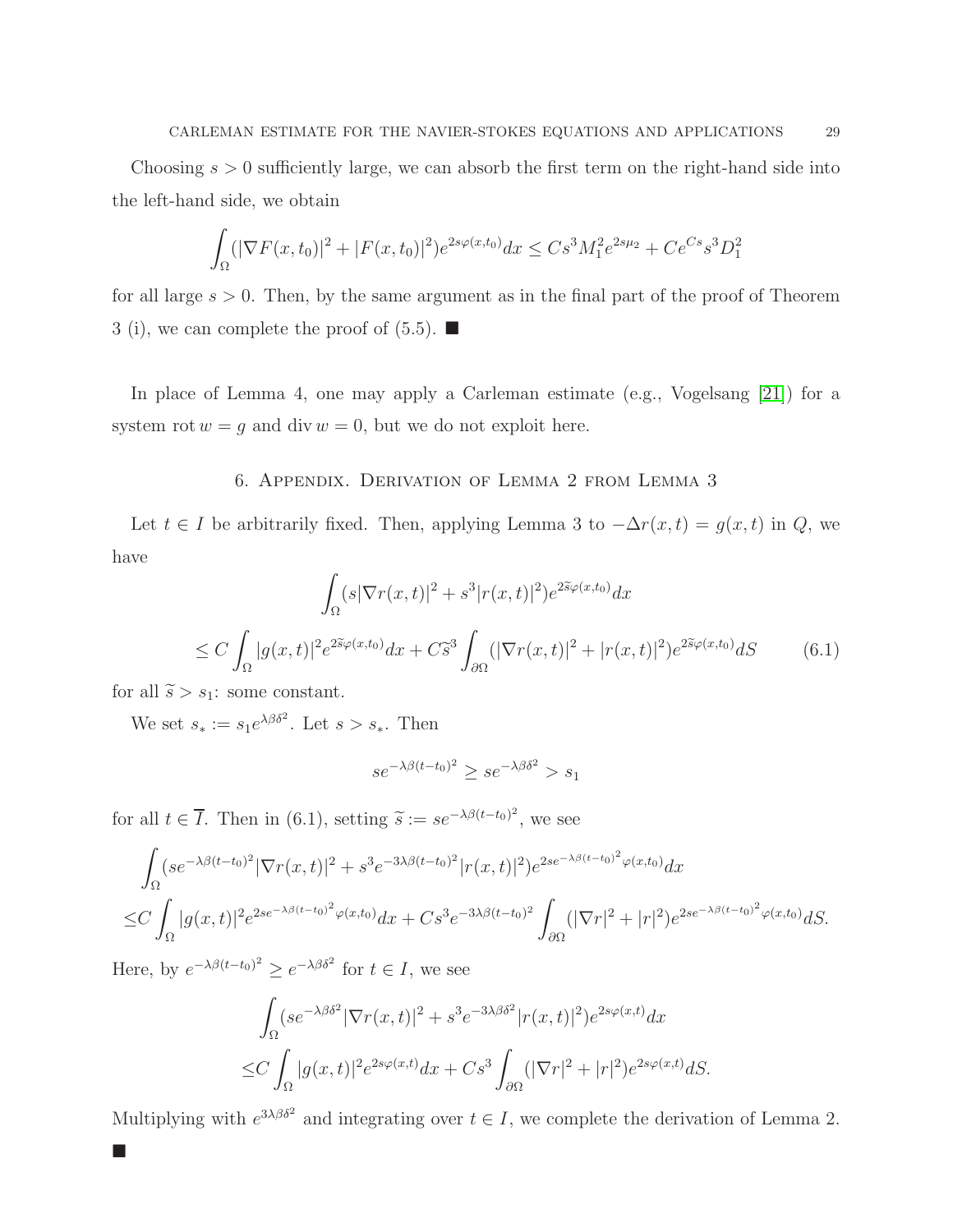Choosing  $s > 0$  sufficiently large, we can absorb the first term on the right-hand side into the left-hand side, we obtain

$$
\int_{\Omega} (|\nabla F(x, t_0)|^2 + |F(x, t_0)|^2) e^{2s\varphi(x, t_0)} dx \leq C s^3 M_1^2 e^{2s\mu_2} + C e^{Cs} s^3 D_1^2
$$

for all large  $s > 0$ . Then, by the same argument as in the final part of the proof of Theorem 3 (i), we can complete the proof of  $(5.5)$ .

In place of Lemma 4, one may apply a Carleman estimate (e.g., Vogelsang [\[21\]](#page-30-9)) for a system rot  $w = g$  and div  $w = 0$ , but we do not exploit here.

## 6. Appendix. Derivation of Lemma 2 from Lemma 3

Let  $t \in I$  be arbitrarily fixed. Then, applying Lemma 3 to  $-\Delta r(x,t) = g(x,t)$  in Q, we have

$$
\int_{\Omega} (s|\nabla r(x,t)|^2 + s^3 |r(x,t)|^2) e^{2\tilde{s}\varphi(x,t_0)} dx
$$
  
\n
$$
\leq C \int_{\Omega} |g(x,t)|^2 e^{2\tilde{s}\varphi(x,t_0)} dx + C\tilde{s}^3 \int_{\partial\Omega} (|\nabla r(x,t)|^2 + |r(x,t)|^2) e^{2\tilde{s}\varphi(x,t_0)} dS \qquad (6.1)
$$

for all  $\widetilde{s} > s_1$ : some constant.

 $\overline{\phantom{a}}$ 

We set  $s_* := s_1 e^{\lambda \beta \delta^2}$ . Let  $s > s_*$ . Then

$$
se^{-\lambda\beta(t-t_0)^2} \ge se^{-\lambda\beta\delta^2} > s_1
$$

for all  $t \in \overline{I}$ . Then in (6.1), setting  $\tilde{s} := s e^{-\lambda \beta (t - t_0)^2}$ , we see

$$
\int_{\Omega} (se^{-\lambda\beta(t-t_0)^2} |\nabla r(x,t)|^2 + s^3 e^{-3\lambda\beta(t-t_0)^2} |r(x,t)|^2) e^{2se^{-\lambda\beta(t-t_0)^2} \varphi(x,t_0)} dx
$$
  

$$
\leq C \int_{\Omega} |g(x,t)|^2 e^{2se^{-\lambda\beta(t-t_0)^2} \varphi(x,t_0)} dx + Cs^3 e^{-3\lambda\beta(t-t_0)^2} \int_{\partial\Omega} (|\nabla r|^2 + |r|^2) e^{2se^{-\lambda\beta(t-t_0)^2} \varphi(x,t_0)} dS.
$$

Here, by  $e^{-\lambda \beta (t-t_0)^2} \ge e^{-\lambda \beta \delta^2}$  for  $t \in I$ , we see

$$
\int_{\Omega} (se^{-\lambda\beta\delta^2} |\nabla r(x,t)|^2 + s^3 e^{-3\lambda\beta\delta^2} |r(x,t)|^2) e^{2s\varphi(x,t)} dx
$$
  
\n
$$
\leq C \int_{\Omega} |g(x,t)|^2 e^{2s\varphi(x,t)} dx + Cs^3 \int_{\partial\Omega} (|\nabla r|^2 + |r|^2) e^{2s\varphi(x,t)} dS.
$$

Multiplying with  $e^{3\lambda\beta\delta^2}$  and integrating over  $t \in I$ , we complete the derivation of Lemma 2.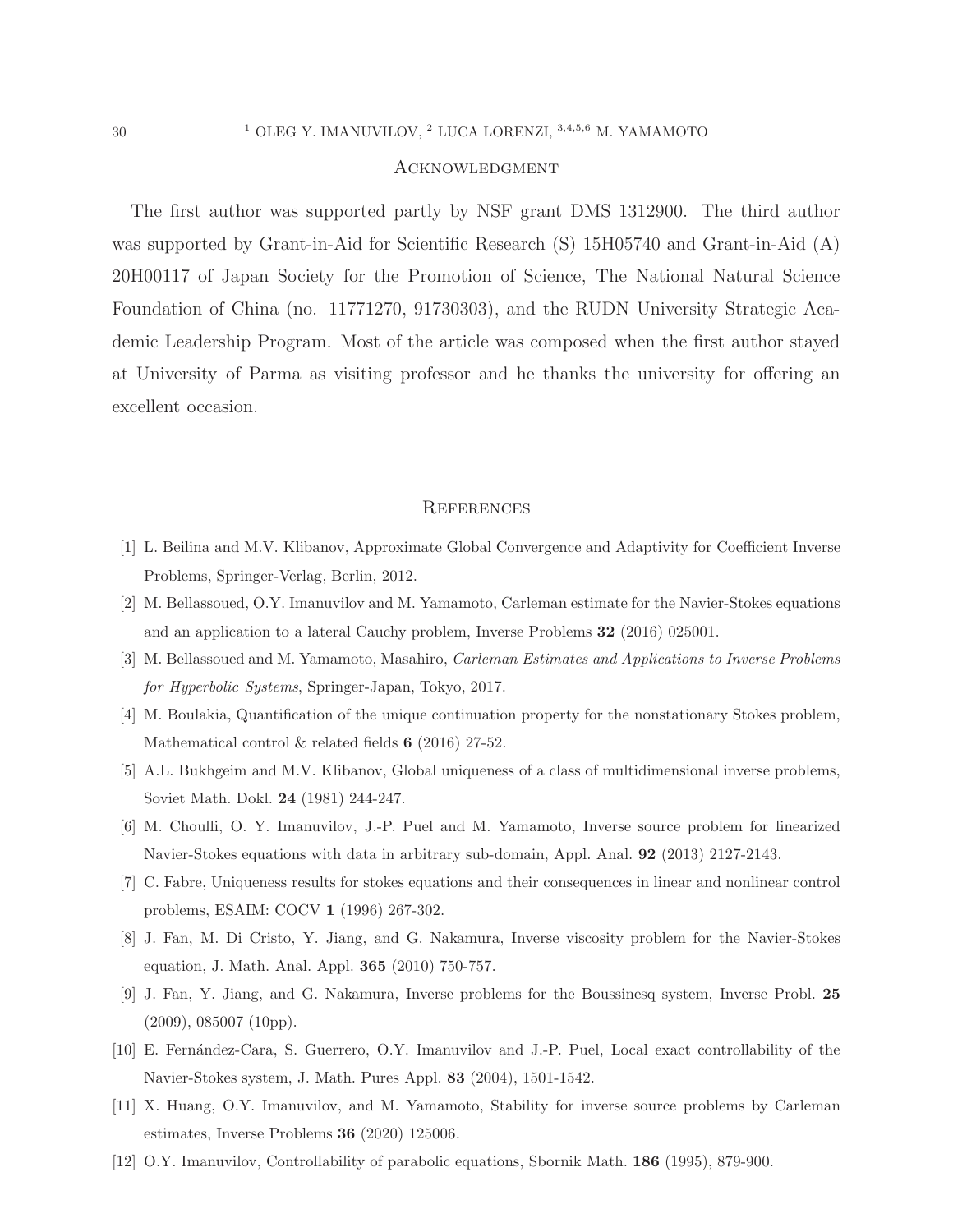#### Acknowledgment

The first author was supported partly by NSF grant DMS 1312900. The third author was supported by Grant-in-Aid for Scientific Research (S) 15H05740 and Grant-in-Aid (A) 20H00117 of Japan Society for the Promotion of Science, The National Natural Science Foundation of China (no. 11771270, 91730303), and the RUDN University Strategic Academic Leadership Program. Most of the article was composed when the first author stayed at University of Parma as visiting professor and he thanks the university for offering an excellent occasion.

#### **REFERENCES**

- <span id="page-29-3"></span><span id="page-29-1"></span>[1] L. Beilina and M.V. Klibanov, Approximate Global Convergence and Adaptivity for Coefficient Inverse Problems, Springer-Verlag, Berlin, 2012.
- <span id="page-29-2"></span>[2] M. Bellassoued, O.Y. Imanuvilov and M. Yamamoto, Carleman estimate for the Navier-Stokes equations and an application to a lateral Cauchy problem, Inverse Problems 32 (2016) 025001.
- <span id="page-29-4"></span>[3] M. Bellassoued and M. Yamamoto, Masahiro, Carleman Estimates and Applications to Inverse Problems for Hyperbolic Systems, Springer-Japan, Tokyo, 2017.
- <span id="page-29-0"></span>[4] M. Boulakia, Quantification of the unique continuation property for the nonstationary Stokes problem, Mathematical control  $\&$  related fields 6 (2016) 27-52.
- <span id="page-29-5"></span>[5] A.L. Bukhgeim and M.V. Klibanov, Global uniqueness of a class of multidimensional inverse problems, Soviet Math. Dokl. 24 (1981) 244-247.
- <span id="page-29-6"></span>[6] M. Choulli, O. Y. Imanuvilov, J.-P. Puel and M. Yamamoto, Inverse source problem for linearized Navier-Stokes equations with data in arbitrary sub-domain, Appl. Anal. 92 (2013) 2127-2143.
- <span id="page-29-7"></span>[7] C. Fabre, Uniqueness results for stokes equations and their consequences in linear and nonlinear control problems, ESAIM: COCV 1 (1996) 267-302.
- <span id="page-29-8"></span>[8] J. Fan, M. Di Cristo, Y. Jiang, and G. Nakamura, Inverse viscosity problem for the Navier-Stokes equation, J. Math. Anal. Appl. 365 (2010) 750-757.
- <span id="page-29-11"></span>[9] J. Fan, Y. Jiang, and G. Nakamura, Inverse problems for the Boussinesq system, Inverse Probl. 25 (2009), 085007 (10pp).
- <span id="page-29-9"></span>[10] E. Fernández-Cara, S. Guerrero, O.Y. Imanuvilov and J.-P. Puel, Local exact controllability of the Navier-Stokes system, J. Math. Pures Appl. 83 (2004), 1501-1542.
- <span id="page-29-10"></span>[11] X. Huang, O.Y. Imanuvilov, and M. Yamamoto, Stability for inverse source problems by Carleman estimates, Inverse Problems 36 (2020) 125006.
- [12] O.Y. Imanuvilov, Controllability of parabolic equations, Sbornik Math. 186 (1995), 879-900.